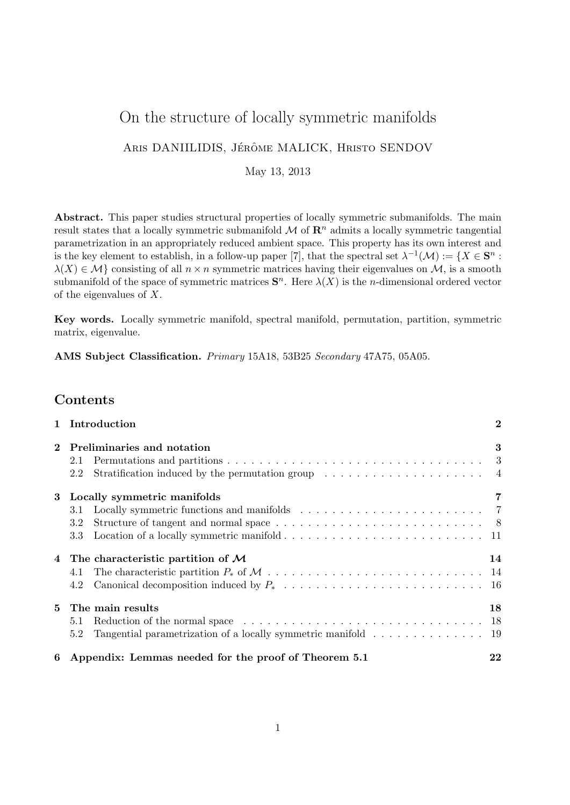# On the structure of locally symmetric manifolds

# ARIS DANIILIDIS, JÉRÔME MALICK, HRISTO SENDOV

May 13, 2013

Abstract. This paper studies structural properties of locally symmetric submanifolds. The main result states that a locally symmetric submanifold  $\mathcal M$  of  $\mathbb R^n$  admits a locally symmetric tangential parametrization in an appropriately reduced ambient space. This property has its own interest and is the key element to establish, in a follow-up paper [7], that the spectral set  $\lambda^{-1}(\mathcal{M}) := \{X \in \mathbf{S}^n :$  $\lambda(X) \in \mathcal{M}$  consisting of all  $n \times n$  symmetric matrices having their eigenvalues on  $\mathcal{M}$ , is a smooth submanifold of the space of symmetric matrices  $S<sup>n</sup>$ . Here  $\lambda(X)$  is the *n*-dimensional ordered vector of the eigenvalues of X.

Key words. Locally symmetric manifold, spectral manifold, permutation, partition, symmetric matrix, eigenvalue.

AMS Subject Classification. Primary 15A18, 53B25 Secondary 47A75, 05A05.

# Contents

|   | 1 Introduction                                                                                                 | $\bf{2}$ |
|---|----------------------------------------------------------------------------------------------------------------|----------|
|   | Preliminaries and notation                                                                                     | 3        |
|   | 2.1                                                                                                            |          |
|   | Stratification induced by the permutation group $\dots \dots \dots \dots \dots \dots \dots$<br>2.2             |          |
| 3 | Locally symmetric manifolds                                                                                    |          |
|   | 3.1                                                                                                            |          |
|   | Structure of tangent and normal space $\dots \dots \dots \dots \dots \dots \dots \dots \dots \dots$<br>$3.2\,$ |          |
|   | 3.3                                                                                                            |          |
| 4 | The characteristic partition of $\mathcal M$                                                                   | 14       |
|   | 4.1                                                                                                            |          |
|   | 4.2                                                                                                            |          |
| 5 | The main results                                                                                               | 18       |
|   | 5.1                                                                                                            |          |
|   | Tangential parametrization of a locally symmetric manifold 19<br>5.2                                           |          |
|   | 6 Appendix: Lemmas needed for the proof of Theorem 5.1                                                         | 22       |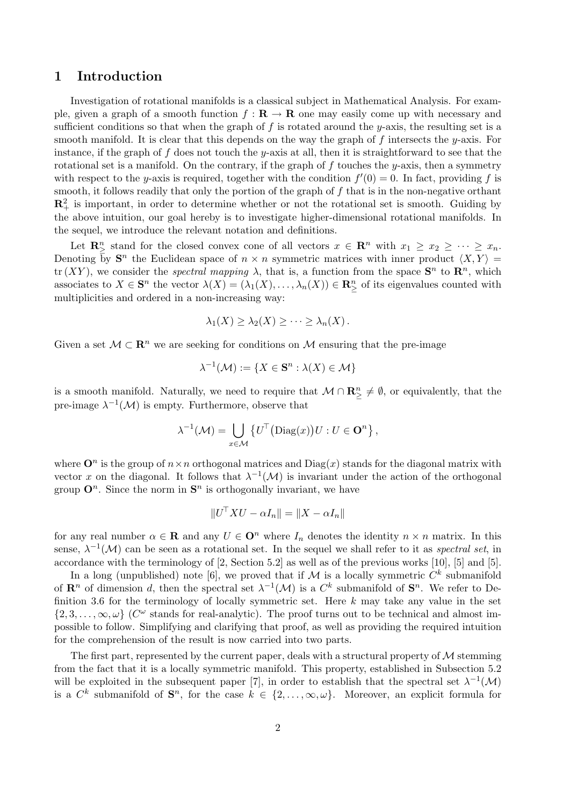### 1 Introduction

Investigation of rotational manifolds is a classical subject in Mathematical Analysis. For example, given a graph of a smooth function  $f : \mathbf{R} \to \mathbf{R}$  one may easily come up with necessary and sufficient conditions so that when the graph of f is rotated around the y-axis, the resulting set is a smooth manifold. It is clear that this depends on the way the graph of  $f$  intersects the y-axis. For instance, if the graph of  $f$  does not touch the y-axis at all, then it is straightforward to see that the rotational set is a manifold. On the contrary, if the graph of f touches the  $y$ -axis, then a symmetry with respect to the y-axis is required, together with the condition  $f'(0) = 0$ . In fact, providing f is smooth, it follows readily that only the portion of the graph of f that is in the non-negative orthant  $\mathbb{R}_+^2$  is important, in order to determine whether or not the rotational set is smooth. Guiding by the above intuition, our goal hereby is to investigate higher-dimensional rotational manifolds. In the sequel, we introduce the relevant notation and definitions.

Let  $\mathbf{R}_{\geq}^n$  stand for the closed convex cone of all vectors  $x \in \mathbf{R}^n$  with  $x_1 \geq x_2 \geq \cdots \geq x_n$ . Denoting  $\overline{b}y$  S<sup>n</sup> the Euclidean space of  $n \times n$  symmetric matrices with inner product  $\langle X, Y \rangle =$ tr  $(XY)$ , we consider the *spectral mapping*  $\lambda$ , that is, a function from the space  $S^n$  to  $\mathbb{R}^n$ , which associates to  $X \in \mathbf{S}^n$  the vector  $\lambda(X) = (\lambda_1(X), \ldots, \lambda_n(X)) \in \mathbf{R}^n_{\geq}$  of its eigenvalues counted with multiplicities and ordered in a non-increasing way:

$$
\lambda_1(X) \geq \lambda_2(X) \geq \cdots \geq \lambda_n(X).
$$

Given a set  $\mathcal{M} \subset \mathbb{R}^n$  we are seeking for conditions on  $\mathcal{M}$  ensuring that the pre-image

$$
\lambda^{-1}(\mathcal{M}) := \{ X \in \mathbf{S}^n : \lambda(X) \in \mathcal{M} \}
$$

is a smooth manifold. Naturally, we need to require that  $\mathcal{M} \cap \mathbb{R}^n \neq \emptyset$ , or equivalently, that the pre-image  $\lambda^{-1}(\mathcal{M})$  is empty. Furthermore, observe that

$$
\lambda^{-1}(\mathcal{M}) = \bigcup_{x \in \mathcal{M}} \left\{ U^{\top}(\text{Diag}(x)) U : U \in \mathbf{O}^n \right\},\
$$

where  $\mathbf{O}^n$  is the group of  $n \times n$  orthogonal matrices and  $\text{Diag}(x)$  stands for the diagonal matrix with vector x on the diagonal. It follows that  $\lambda^{-1}(\mathcal{M})$  is invariant under the action of the orthogonal group  $\mathbf{O}^n$ . Since the norm in  $\mathbf{S}^n$  is orthogonally invariant, we have

$$
||U^{\top}XU - \alpha I_n|| = ||X - \alpha I_n||
$$

for any real number  $\alpha \in \mathbf{R}$  and any  $U \in \mathbf{O}^n$  where  $I_n$  denotes the identity  $n \times n$  matrix. In this sense,  $\lambda^{-1}(\mathcal{M})$  can be seen as a rotational set. In the sequel we shall refer to it as spectral set, in accordance with the terminology of [2, Section 5.2] as well as of the previous works [10], [5] and [5].

In a long (unpublished) note [6], we proved that if M is a locally symmetric  $C^k$  submanifold of  $\mathbb{R}^n$  of dimension d, then the spectral set  $\lambda^{-1}(\mathcal{M})$  is a  $C^k$  submanifold of  $\mathbf{S}^n$ . We refer to Definition 3.6 for the terminology of locally symmetric set. Here  $k$  may take any value in the set  $\{2,3,\ldots,\infty,\omega\}$  (C<sup> $\omega$ </sup> stands for real-analytic). The proof turns out to be technical and almost impossible to follow. Simplifying and clarifying that proof, as well as providing the required intuition for the comprehension of the result is now carried into two parts.

The first part, represented by the current paper, deals with a structural property of  $\mathcal M$  stemming from the fact that it is a locally symmetric manifold. This property, established in Subsection 5.2 will be exploited in the subsequent paper [7], in order to establish that the spectral set  $\lambda^{-1}(\mathcal{M})$ is a  $C^k$  submanifold of  $S^n$ , for the case  $k \in \{2,\ldots,\infty,\omega\}$ . Moreover, an explicit formula for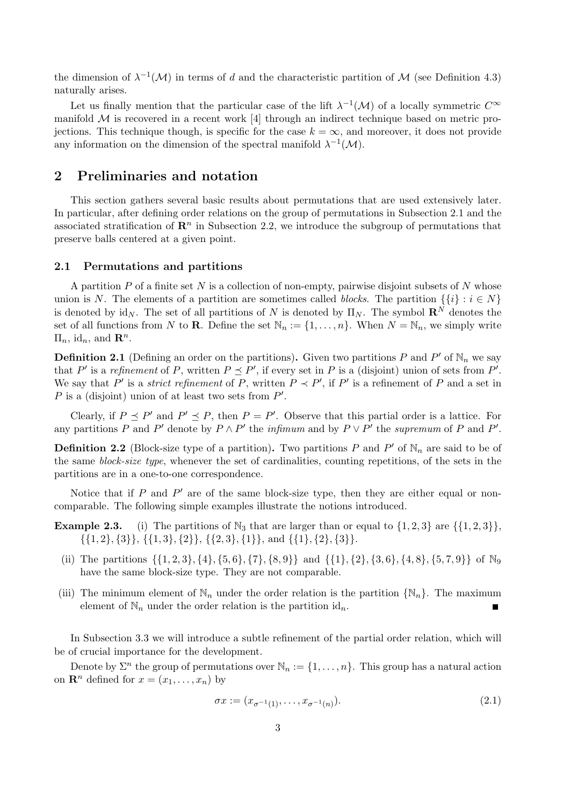the dimension of  $\lambda^{-1}(\mathcal{M})$  in terms of d and the characteristic partition of M (see Definition 4.3) naturally arises.

Let us finally mention that the particular case of the lift  $\lambda^{-1}(\mathcal{M})$  of a locally symmetric  $C^{\infty}$ manifold  $M$  is recovered in a recent work [4] through an indirect technique based on metric projections. This technique though, is specific for the case  $k = \infty$ , and moreover, it does not provide any information on the dimension of the spectral manifold  $\lambda^{-1}(\mathcal{M})$ .

# 2 Preliminaries and notation

This section gathers several basic results about permutations that are used extensively later. In particular, after defining order relations on the group of permutations in Subsection 2.1 and the associated stratification of  $\mathbb{R}^n$  in Subsection 2.2, we introduce the subgroup of permutations that preserve balls centered at a given point.

#### 2.1 Permutations and partitions

A partition  $P$  of a finite set  $N$  is a collection of non-empty, pairwise disjoint subsets of  $N$  whose union is N. The elements of a partition are sometimes called *blocks*. The partition  $\{\{i\} : i \in N\}$ is denoted by id<sub>N</sub>. The set of all partitions of N is denoted by  $\Pi_N$ . The symbol  $\mathbb{R}^N$  denotes the set of all functions from N to **R**. Define the set  $\mathbb{N}_n := \{1, \ldots, n\}$ . When  $N = \mathbb{N}_n$ , we simply write  $\Pi_n$ , id<sub>n</sub>, and  $\mathbf{R}^n$ .

**Definition 2.1** (Defining an order on the partitions). Given two partitions P and P' of  $\mathbb{N}_n$  we say that P' is a refinement of P, written  $P \leq P'$ , if every set in P is a (disjoint) union of sets from P'. We say that P' is a *strict refinement* of P, written  $P \prec P'$ , if P' is a refinement of P and a set in  $P$  is a (disjoint) union of at least two sets from  $P'$ .

Clearly, if  $P \leq P'$  and  $P' \leq P$ , then  $P = P'$ . Observe that this partial order is a lattice. For any partitions P and P' denote by  $P \wedge P'$  the *infimum* and by  $P \vee P'$  the *supremum* of P and P'.

**Definition 2.2** (Block-size type of a partition). Two partitions P and P' of  $\mathbb{N}_n$  are said to be of the same block-size type, whenever the set of cardinalities, counting repetitions, of the sets in the partitions are in a one-to-one correspondence.

Notice that if  $P$  and  $P'$  are of the same block-size type, then they are either equal or noncomparable. The following simple examples illustrate the notions introduced.

- **Example 2.3.** (i) The partitions of  $\mathbb{N}_3$  that are larger than or equal to  $\{1, 2, 3\}$  are  $\{\{1, 2, 3\}\}$ ,  $\{\{1, 2\}, \{3\}\}, \{\{1, 3\}, \{2\}\}, \{\{2, 3\}, \{1\}\}, \text{ and } \{\{1\}, \{2\}, \{3\}\}.$ 
	- (ii) The partitions  $\{\{1, 2, 3\}, \{4\}, \{5, 6\}, \{7\}, \{8, 9\}\}\$  and  $\{\{1\}, \{2\}, \{3, 6\}, \{4, 8\}, \{5, 7, 9\}\}\$  of  $\mathbb{N}_9$ have the same block-size type. They are not comparable.
- (iii) The minimum element of  $\mathbb{N}_n$  under the order relation is the partition  $\{\mathbb{N}_n\}$ . The maximum element of  $\mathbb{N}_n$  under the order relation is the partition  $id_n$ .

In Subsection 3.3 we will introduce a subtle refinement of the partial order relation, which will be of crucial importance for the development.

Denote by  $\Sigma^n$  the group of permutations over  $\mathbb{N}_n := \{1, \ldots, n\}$ . This group has a natural action on  $\mathbf{R}^n$  defined for  $x = (x_1, \ldots, x_n)$  by

$$
\sigma x := (x_{\sigma^{-1}(1)}, \dots, x_{\sigma^{-1}(n)}). \tag{2.1}
$$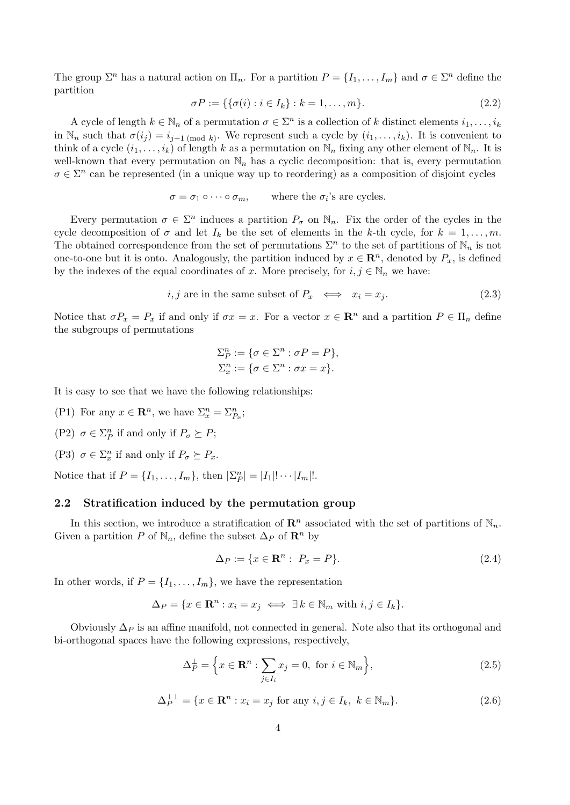The group  $\Sigma^n$  has a natural action on  $\Pi_n$ . For a partition  $P = \{I_1, \ldots, I_m\}$  and  $\sigma \in \Sigma^n$  define the partition

$$
\sigma P := \{ \{\sigma(i) : i \in I_k \} : k = 1, \dots, m \}.
$$
\n(2.2)

A cycle of length  $k \in \mathbb{N}_n$  of a permutation  $\sigma \in \Sigma^n$  is a collection of k distinct elements  $i_1, \ldots, i_k$ in  $\mathbb{N}_n$  such that  $\sigma(i_j) = i_{j+1 \pmod{k}}$ . We represent such a cycle by  $(i_1, \ldots, i_k)$ . It is convenient to think of a cycle  $(i_1, \ldots, i_k)$  of length k as a permutation on  $\mathbb{N}_n$  fixing any other element of  $\mathbb{N}_n$ . It is well-known that every permutation on  $\mathbb{N}_n$  has a cyclic decomposition: that is, every permutation  $\sigma \in \Sigma^n$  can be represented (in a unique way up to reordering) as a composition of disjoint cycles

$$
\sigma = \sigma_1 \circ \cdots \circ \sigma_m
$$
, where the  $\sigma_i$ 's are cycles.

Every permutation  $\sigma \in \Sigma^n$  induces a partition  $P_{\sigma}$  on  $\mathbb{N}_n$ . Fix the order of the cycles in the cycle decomposition of  $\sigma$  and let  $I_k$  be the set of elements in the k-th cycle, for  $k = 1, \ldots, m$ . The obtained correspondence from the set of permutations  $\Sigma<sup>n</sup>$  to the set of partitions of  $\mathbb{N}<sub>n</sub>$  is not one-to-one but it is onto. Analogously, the partition induced by  $x \in \mathbb{R}^n$ , denoted by  $P_x$ , is defined by the indexes of the equal coordinates of x. More precisely, for  $i, j \in \mathbb{N}_n$  we have:

$$
i, j
$$
 are in the same subset of  $P_x \iff x_i = x_j.$  (2.3)

Notice that  $\sigma P_x = P_x$  if and only if  $\sigma x = x$ . For a vector  $x \in \mathbb{R}^n$  and a partition  $P \in \Pi_n$  define the subgroups of permutations

$$
\Sigma_P^n := \{ \sigma \in \Sigma^n : \sigma P = P \},
$$
  

$$
\Sigma_x^n := \{ \sigma \in \Sigma^n : \sigma x = x \}.
$$

It is easy to see that we have the following relationships:

- (P1) For any  $x \in \mathbb{R}^n$ , we have  $\Sigma_x^n = \Sigma_{P_x}^n$ ;
- (P2)  $\sigma \in \Sigma_P^n$  if and only if  $P_{\sigma} \succeq P$ ;
- (P3)  $\sigma \in \Sigma_x^n$  if and only if  $P_{\sigma} \succeq P_x$ .

Notice that if  $P = \{I_1, ..., I_m\}$ , then  $|\sum_{P}^{n}| = |I_1|! \cdots |I_m|!$ .

### 2.2 Stratification induced by the permutation group

In this section, we introduce a stratification of  $\mathbb{R}^n$  associated with the set of partitions of  $\mathbb{N}_n$ . Given a partition P of  $\mathbb{N}_n$ , define the subset  $\Delta_P$  of  $\mathbb{R}^n$  by

$$
\Delta_P := \{ x \in \mathbf{R}^n : P_x = P \}. \tag{2.4}
$$

In other words, if  $P = \{I_1, \ldots, I_m\}$ , we have the representation

$$
\Delta_P = \{ x \in \mathbf{R}^n : x_i = x_j \iff \exists \, k \in \mathbb{N}_m \text{ with } i, j \in I_k \}.
$$

Obviously  $\Delta_P$  is an affine manifold, not connected in general. Note also that its orthogonal and bi-orthogonal spaces have the following expressions, respectively,

$$
\Delta_P^{\perp} = \left\{ x \in \mathbf{R}^n : \sum_{j \in I_i} x_j = 0, \text{ for } i \in \mathbb{N}_m \right\},\tag{2.5}
$$

$$
\Delta_P^{\perp \perp} = \{ x \in \mathbf{R}^n : x_i = x_j \text{ for any } i, j \in I_k, k \in \mathbb{N}_m \}. \tag{2.6}
$$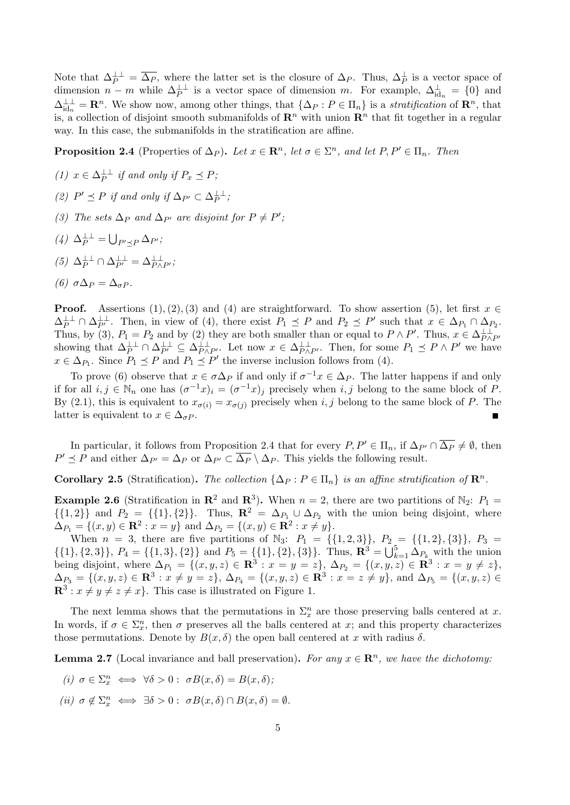Note that  $\Delta_P^{\perp \perp} = \overline{\Delta_P}$ , where the latter set is the closure of  $\Delta_P$ . Thus,  $\Delta_P^{\perp}$  is a vector space of dimension  $n - m$  while  $\Delta_P^{\perp \perp}$  is a vector space of dimension m. For example,  $\Delta_{\text{id}_n}^{\perp} = \{0\}$  and  $\Delta_{\text{id}_n}^{\perp\perp} = \mathbf{R}^n$ . We show now, among other things, that  $\{\Delta_P : P \in \Pi_n\}$  is a *stratification* of  $\mathbf{R}^n$ , that is, a collection of disjoint smooth submanifolds of  $\mathbb{R}^n$  with union  $\mathbb{R}^n$  that fit together in a regular way. In this case, the submanifolds in the stratification are affine.

**Proposition 2.4** (Properties of  $\Delta_P$ ). Let  $x \in \mathbb{R}^n$ , let  $\sigma \in \Sigma^n$ , and let  $P, P' \in \Pi_n$ . Then

- (1)  $x \in \Delta_P^{\perp \perp}$  if and only if  $P_x \preceq P$ ;
- (2)  $P' \preceq P$  if and only if  $\Delta_{P'} \subset \Delta_P^{\perp \perp}$ ;
- (3) The sets  $\Delta_P$  and  $\Delta_{P'}$  are disjoint for  $P \neq P'$ ;
- (4)  $\Delta_P^{\perp\perp} = \bigcup_{P'\preceq P} \Delta_{P'};$
- (5)  $\Delta_P^{\perp\perp} \cap \Delta_{P'}^{\perp\perp} = \Delta_{P\wedge P'}^{\perp\perp}$ ;
- (6)  $\sigma \Delta_P = \Delta_{\sigma P}$ .

**Proof.** Assertions  $(1), (2), (3)$  and  $(4)$  are straightforward. To show assertion  $(5)$ , let first  $x \in \mathbb{R}$  $\Delta_P^{\perp\perp} \cap \Delta_{P'}^{\perp\perp}$ . Then, in view of (4), there exist  $P_1 \preceq P$  and  $P_2 \preceq P'$  such that  $x \in \Delta_{P_1} \cap \Delta_{P_2}$ . Thus, by (3),  $P_1 = P_2$  and by (2) they are both smaller than or equal to  $P \wedge P'$ . Thus,  $x \in \Delta_{P \wedge P'}^{\perp \perp}$ showing that  $\Delta_P^{\perp\perp} \cap \Delta_{P'}^{\perp\perp} \subseteq \Delta_{P\wedge P'}^{\perp\perp}$ . Let now  $x \in \Delta_{P\wedge P'}^{\perp\perp}$ . Then, for some  $P_1 \preceq P \wedge P'$  we have  $x \in \Delta_{P_1}$ . Since  $P_1 \preceq P$  and  $P_1 \preceq P'$  the inverse inclusion follows from (4).

To prove (6) observe that  $x \in \sigma \Delta_P$  if and only if  $\sigma^{-1} x \in \Delta_P$ . The latter happens if and only if for all  $i, j \in \mathbb{N}_n$  one has  $(\sigma^{-1}x)_i = (\sigma^{-1}x)_j$  precisely when  $i, j$  belong to the same block of P. By (2.1), this is equivalent to  $x_{\sigma(i)} = x_{\sigma(j)}$  precisely when i, j belong to the same block of P. The latter is equivalent to  $x \in \Delta_{\sigma P}$ .

In particular, it follows from Proposition 2.4 that for every  $P, P' \in \Pi_n$ , if  $\Delta_{P'} \cap \overline{\Delta_P} \neq \emptyset$ , then  $P' \preceq P$  and either  $\Delta_{P'} = \Delta_P$  or  $\Delta_{P'} \subset \overline{\Delta_P} \setminus \Delta_P$ . This yields the following result.

Corollary 2.5 (Stratification). The collection  $\{\Delta_P : P \in \Pi_n\}$  is an affine stratification of  $\mathbb{R}^n$ .

**Example 2.6** (Stratification in  $\mathbb{R}^2$  and  $\mathbb{R}^3$ ). When  $n = 2$ , there are two partitions of  $\mathbb{N}_2$ :  $P_1$  $\{\{1,2\}\}\$ and  $P_2 = \{\{1\},\{2\}\}\$ . Thus,  $\mathbb{R}^2 = \Delta_{P_1} \cup \Delta_{P_2}$  with the union being disjoint, where  $\Delta_{P_1} = \{(x, y) \in \mathbb{R}^2 : x = y\}$  and  $\Delta_{P_2} = \{(x, y) \in \mathbb{R}^2 : x \neq y\}.$ 

When  $n = 3$ , there are five partitions of  $\mathbb{N}_3$ :  $P_1 = \{\{1,2,3\}\}, P_2 = \{\{1,2\},\{3\}\}, P_3 =$  $\{\{1\},\{2,3\}\}\$ ,  $P_4 = \{\{1,3\},\{2\}\}\$  and  $P_5 = \{\{1\},\{2\},\{3\}\}\$ . Thus,  $\mathbb{R}^3 = \bigcup_{k=1}^5 \Delta_{P_{k_k}}$  with the union being disjoint, where  $\Delta_{P_1} = \{ (x, y, z) \in \mathbb{R}^3 : x = y = z \}, \Delta_{P_2} = \{ (x, y, z) \in \mathbb{R}^3 : x = y \neq z \},\$  $\Delta_{P_3} = \{(x, y, z) \in \mathbb{R}^3 : x \neq y = z\}, \, \Delta_{P_4} = \{(x, y, z) \in \mathbb{R}^3 : x = z \neq y\}, \, \text{and } \Delta_{P_5} = \{(x, y, z) \in \mathbb{R}^3 : x = z \neq y\}$  $\mathbf{R}^3$ :  $x \neq y \neq z \neq x$ . This case is illustrated on Figure 1.

The next lemma shows that the permutations in  $\Sigma_x^n$  are those preserving balls centered at x. In words, if  $\sigma \in \Sigma_x^n$ , then  $\sigma$  preserves all the balls centered at x; and this property characterizes those permutations. Denote by  $B(x, \delta)$  the open ball centered at x with radius  $\delta$ .

**Lemma 2.7** (Local invariance and ball preservation). For any  $x \in \mathbb{R}^n$ , we have the dichotomy:

- (i)  $\sigma \in \Sigma_x^n \iff \forall \delta > 0 : \sigma B(x, \delta) = B(x, \delta);$
- (ii)  $\sigma \notin \Sigma_x^n \iff \exists \delta > 0 : \sigma B(x, \delta) \cap B(x, \delta) = \emptyset.$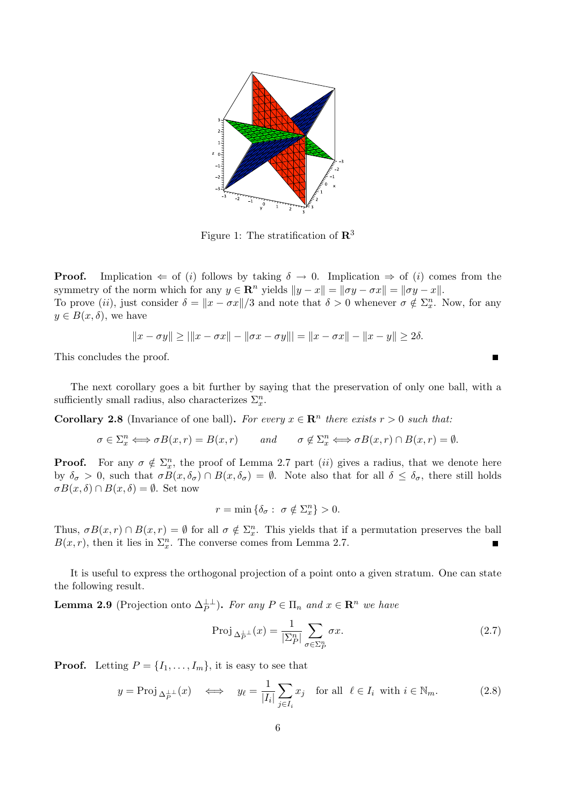

Figure 1: The stratification of  $\mathbb{R}^3$ 

**Proof.** Implication  $\Leftarrow$  of (i) follows by taking  $\delta \to 0$ . Implication  $\Rightarrow$  of (i) comes from the symmetry of the norm which for any  $y \in \mathbb{R}^n$  yields  $||y - x|| = ||\sigma y - \sigma x|| = ||\sigma y - x||$ . To prove (*ii*), just consider  $\delta = ||x - \sigma x||/3$  and note that  $\delta > 0$  whenever  $\sigma \notin \Sigma_x^n$ . Now, for any  $y \in B(x, \delta)$ , we have

$$
||x - \sigma y|| \ge |||x - \sigma x|| - ||\sigma x - \sigma y|| = ||x - \sigma x|| - ||x - y|| \ge 2\delta.
$$

This concludes the proof.

The next corollary goes a bit further by saying that the preservation of only one ball, with a sufficiently small radius, also characterizes  $\Sigma_x^n$ .

**Corollary 2.8** (Invariance of one ball). For every  $x \in \mathbb{R}^n$  there exists  $r > 0$  such that:

$$
\sigma \in \Sigma_x^n \iff \sigma B(x, r) = B(x, r) \qquad \text{and} \qquad \sigma \notin \Sigma_x^n \iff \sigma B(x, r) \cap B(x, r) = \emptyset.
$$

**Proof.** For any  $\sigma \notin \Sigma_x^n$ , the proof of Lemma 2.7 part *(ii)* gives a radius, that we denote here by  $\delta_{\sigma} > 0$ , such that  $\sigma B(x, \delta_{\sigma}) \cap B(x, \delta_{\sigma}) = \emptyset$ . Note also that for all  $\delta \leq \delta_{\sigma}$ , there still holds  $\sigma B(x,\delta) \cap B(x,\delta) = \emptyset$ . Set now

$$
r = \min \{\delta_\sigma: \ \sigma \notin \Sigma_x^n\} > 0.
$$

Thus,  $\sigma B(x,r) \cap B(x,r) = \emptyset$  for all  $\sigma \notin \Sigma_{x}^{n}$ . This yields that if a permutation preserves the ball  $B(x, r)$ , then it lies in  $\Sigma_x^n$ . The converse comes from Lemma 2.7.

It is useful to express the orthogonal projection of a point onto a given stratum. One can state the following result.

**Lemma 2.9** (Projection onto  $\Delta_P^{\perp\perp}$ ). For any  $P \in \Pi_n$  and  $x \in \mathbb{R}^n$  we have

$$
\operatorname{Proj}_{\Delta_P^{\perp\perp}}(x) = \frac{1}{|\Sigma_P^n|} \sum_{\sigma \in \Sigma_P^n} \sigma x. \tag{2.7}
$$

 $\blacksquare$ 

**Proof.** Letting  $P = \{I_1, \ldots, I_m\}$ , it is easy to see that

$$
y = \text{Proj}_{\Delta_P^{\perp \perp}}(x) \iff y_\ell = \frac{1}{|I_i|} \sum_{j \in I_i} x_j \quad \text{for all} \ \ell \in I_i \text{ with } i \in \mathbb{N}_m. \tag{2.8}
$$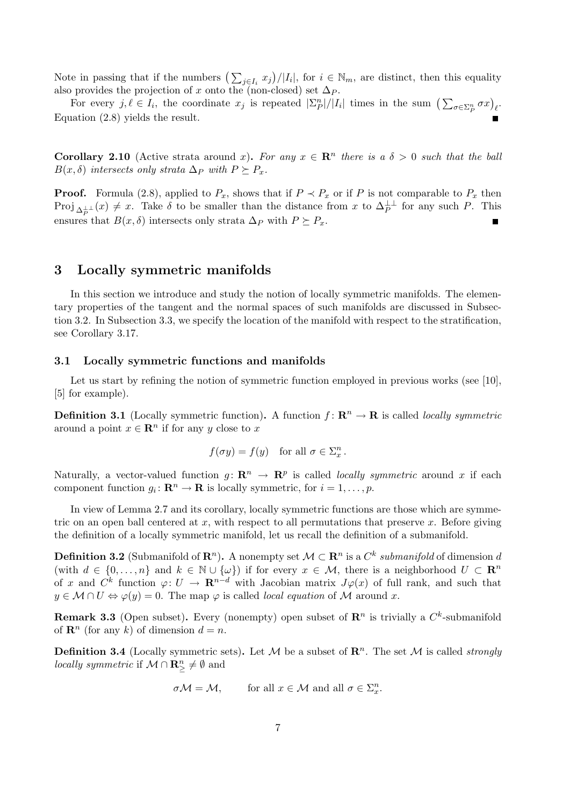Note in passing that if the numbers  $\left(\sum_{j\in I_i} x_j\right)/|I_i|$ , for  $i \in \mathbb{N}_m$ , are distinct, then this equality also provides the projection of x onto the (non-closed) set  $\Delta_P$ .

For every  $j, \ell \in I_i$ , the coordinate  $x_j$  is repeated  $|\Sigma_P^n|/|I_i|$  times in the sum  $(\sum_{\sigma \in \Sigma_P^n} \sigma x)_{\ell}$ . Equation (2.8) yields the result.

**Corollary 2.10** (Active strata around x). For any  $x \in \mathbb{R}^n$  there is a  $\delta > 0$  such that the ball  $B(x, \delta)$  intersects only strata  $\Delta_P$  with  $P \succeq P_x$ .

**Proof.** Formula (2.8), applied to  $P_x$ , shows that if  $P \prec P_x$  or if P is not comparable to  $P_x$  then Proj  $\Delta_P^{\perp\perp}(x) \neq x$ . Take  $\delta$  to be smaller than the distance from x to  $\Delta_P^{\perp\perp}$  for any such P. This ensures that  $B(x, \delta)$  intersects only strata  $\Delta_P$  with  $P \succeq P_x$ .

# 3 Locally symmetric manifolds

In this section we introduce and study the notion of locally symmetric manifolds. The elementary properties of the tangent and the normal spaces of such manifolds are discussed in Subsection 3.2. In Subsection 3.3, we specify the location of the manifold with respect to the stratification, see Corollary 3.17.

#### 3.1 Locally symmetric functions and manifolds

Let us start by refining the notion of symmetric function employed in previous works (see [10], [5] for example).

**Definition 3.1** (Locally symmetric function). A function  $f: \mathbb{R}^n \to \mathbb{R}$  is called *locally symmetric* around a point  $x \in \mathbb{R}^n$  if for any y close to x

$$
f(\sigma y) = f(y)
$$
 for all  $\sigma \in \Sigma_x^n$ .

Naturally, a vector-valued function  $g: \mathbb{R}^n \to \mathbb{R}^p$  is called *locally symmetric* around x if each component function  $g_i: \mathbf{R}^n \to \mathbf{R}$  is locally symmetric, for  $i = 1, \ldots, p$ .

In view of Lemma 2.7 and its corollary, locally symmetric functions are those which are symmetric on an open ball centered at x, with respect to all permutations that preserve x. Before giving the definition of a locally symmetric manifold, let us recall the definition of a submanifold.

**Definition 3.2** (Submanifold of  $\mathbf{R}^n$ ). A nonempty set  $\mathcal{M} \subset \mathbf{R}^n$  is a  $C^k$  submanifold of dimension d (with  $d \in \{0, \ldots, n\}$  and  $k \in \mathbb{N} \cup \{\omega\}$ ) if for every  $x \in \mathcal{M}$ , there is a neighborhood  $U \subset \mathbb{R}^n$ of x and  $C^k$  function  $\varphi: U \to \mathbf{R}^{n-d}$  with Jacobian matrix  $J\varphi(x)$  of full rank, and such that  $y \in \mathcal{M} \cap U \Leftrightarrow \varphi(y) = 0$ . The map  $\varphi$  is called *local equation* of M around x.

**Remark 3.3** (Open subset). Every (nonempty) open subset of  $\mathbb{R}^n$  is trivially a  $C^k$ -submanifold of  $\mathbf{R}^n$  (for any k) of dimension  $d = n$ .

**Definition 3.4** (Locally symmetric sets). Let M be a subset of  $\mathbb{R}^n$ . The set M is called *strongly locally symmetric* if  $\mathcal{M} \cap \mathbb{R}^n_{\geq} \neq \emptyset$  and

$$
\sigma \mathcal{M} = \mathcal{M}
$$
, for all  $x \in \mathcal{M}$  and all  $\sigma \in \Sigma_x^n$ .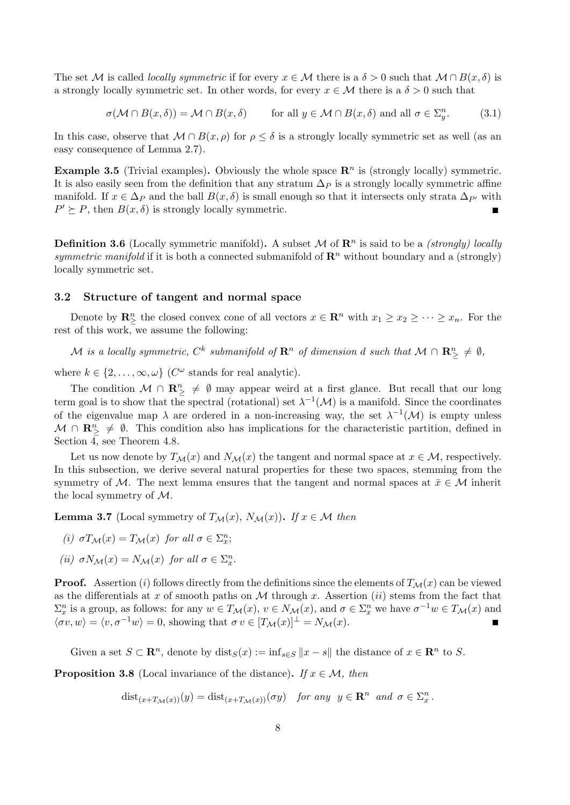The set M is called *locally symmetric* if for every  $x \in M$  there is a  $\delta > 0$  such that  $M \cap B(x, \delta)$  is a strongly locally symmetric set. In other words, for every  $x \in \mathcal{M}$  there is a  $\delta > 0$  such that

$$
\sigma(\mathcal{M} \cap B(x,\delta)) = \mathcal{M} \cap B(x,\delta) \qquad \text{for all } y \in \mathcal{M} \cap B(x,\delta) \text{ and all } \sigma \in \Sigma_y^n. \tag{3.1}
$$

In this case, observe that  $M \cap B(x, \rho)$  for  $\rho \leq \delta$  is a strongly locally symmetric set as well (as an easy consequence of Lemma 2.7).

**Example 3.5** (Trivial examples). Obviously the whole space  $\mathbb{R}^n$  is (strongly locally) symmetric. It is also easily seen from the definition that any stratum  $\Delta_P$  is a strongly locally symmetric affine manifold. If  $x \in \Delta_P$  and the ball  $B(x, \delta)$  is small enough so that it intersects only strata  $\Delta_{P'}$  with  $P' \succeq P$ , then  $B(x, \delta)$  is strongly locally symmetric. П

**Definition 3.6** (Locally symmetric manifold). A subset M of  $\mathbb{R}^n$  is said to be a *(strongly) locally* symmetric manifold if it is both a connected submanifold of  $\mathbb{R}^n$  without boundary and a (strongly) locally symmetric set.

### 3.2 Structure of tangent and normal space

Denote by  $\mathbb{R}^n_{\geq}$  the closed convex cone of all vectors  $x \in \mathbb{R}^n$  with  $x_1 \geq x_2 \geq \cdots \geq x_n$ . For the rest of this work, we assume the following:

M is a locally symmetric,  $C^k$  submanifold of  $\mathbf{R}^n$  of dimension  $d$  such that  $\mathcal{M} \cap \mathbf{R}^n_\geq \neq \emptyset$ ,

where  $k \in \{2, ..., \infty, \omega\}$  (C<sup> $\omega$ </sup> stands for real analytic).

The condition  $\mathcal{M} \cap \mathbb{R}^n_{\geq} \neq \emptyset$  may appear weird at a first glance. But recall that our long term goal is to show that the spectral (rotational) set  $\lambda^{-1}(\mathcal{M})$  is a manifold. Since the coordinates of the eigenvalue map  $\lambda$  are ordered in a non-increasing way, the set  $\lambda^{-1}(\mathcal{M})$  is empty unless  $\mathcal{M} \cap \mathbb{R}_{\geq}^n \neq \emptyset$ . This condition also has implications for the characteristic partition, defined in Section 4, see Theorem 4.8.

Let us now denote by  $T_{\mathcal{M}}(x)$  and  $N_{\mathcal{M}}(x)$  the tangent and normal space at  $x \in \mathcal{M}$ , respectively. In this subsection, we derive several natural properties for these two spaces, stemming from the symmetry of M. The next lemma ensures that the tangent and normal spaces at  $\bar{x} \in \mathcal{M}$  inherit the local symmetry of M.

**Lemma 3.7** (Local symmetry of  $T_M(x)$ ,  $N_M(x)$ ). If  $x \in M$  then

$$
(i)\ \ \sigma T_{\mathcal{M}}(x)=T_{\mathcal{M}}(x)\ \ for\ all\ \sigma\in\Sigma_x^n;
$$

(*ii*)  $\sigma N_{\mathcal{M}}(x) = N_{\mathcal{M}}(x)$  for all  $\sigma \in \Sigma_x^n$ .

**Proof.** Assertion (i) follows directly from the definitions since the elements of  $T_M(x)$  can be viewed as the differentials at x of smooth paths on  $M$  through x. Assertion (ii) stems from the fact that  $\Sigma_x^n$  is a group, as follows: for any  $w \in T_{\mathcal{M}}(x)$ ,  $v \in N_{\mathcal{M}}(x)$ , and  $\sigma \in \Sigma_x^n$  we have  $\sigma^{-1}w \in T_{\mathcal{M}}(x)$  and  $\langle \sigma v, w \rangle = \langle v, \sigma^{-1} w \rangle = 0$ , showing that  $\sigma v \in [T_{\mathcal{M}}(x)]^{\perp} = N_{\mathcal{M}}(x)$ .

Given a set  $S \subset \mathbb{R}^n$ , denote by  $dist_S(x) := \inf_{s \in S} ||x - s||$  the distance of  $x \in \mathbb{R}^n$  to S.

**Proposition 3.8** (Local invariance of the distance). If  $x \in \mathcal{M}$ , then

$$
dist_{(x+T_{\mathcal{M}}(x))}(y) = dist_{(x+T_{\mathcal{M}}(x))}(\sigma y) \quad \text{for any } y \in \mathbf{R}^n \text{ and } \sigma \in \Sigma_x^n.
$$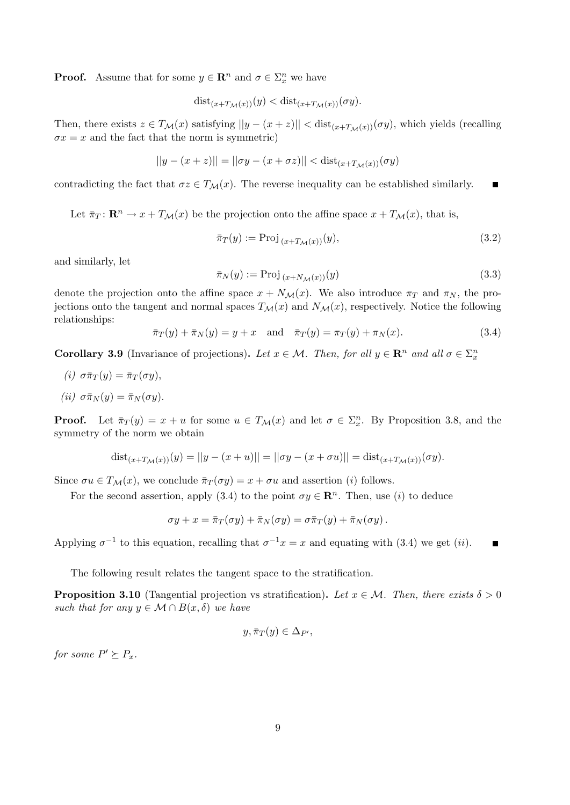**Proof.** Assume that for some  $y \in \mathbb{R}^n$  and  $\sigma \in \Sigma_x^n$  we have

$$
dist_{(x+T_{\mathcal{M}}(x))}(y) < dist_{(x+T_{\mathcal{M}}(x))}(\sigma y).
$$

Then, there exists  $z \in T_{\mathcal{M}}(x)$  satisfying  $||y - (x + z)|| < \text{dist}_{(x + T_{\mathcal{M}}(x))}(\sigma y)$ , which yields (recalling  $\sigma x = x$  and the fact that the norm is symmetric)

$$
||y - (x + z)|| = ||\sigma y - (x + \sigma z)|| < \text{dist}_{(x + T_{\mathcal{M}}(x))}(\sigma y)
$$

contradicting the fact that  $\sigma z \in T_{\mathcal{M}}(x)$ . The reverse inequality can be established similarly.  $\blacksquare$ 

Let  $\bar{\pi}_T : \mathbf{R}^n \to x + T_{\mathcal{M}}(x)$  be the projection onto the affine space  $x + T_{\mathcal{M}}(x)$ , that is,

$$
\bar{\pi}_T(y) := \text{Proj}_{(x+T_{\mathcal{M}}(x))}(y),\tag{3.2}
$$

and similarly, let

$$
\bar{\pi}_N(y) := \text{Proj}_{(x+N_{\mathcal{M}}(x))}(y) \tag{3.3}
$$

denote the projection onto the affine space  $x + N_{\mathcal{M}}(x)$ . We also introduce  $\pi_T$  and  $\pi_N$ , the projections onto the tangent and normal spaces  $T_{\mathcal{M}}(x)$  and  $N_{\mathcal{M}}(x)$ , respectively. Notice the following relationships:

$$
\bar{\pi}_T(y) + \bar{\pi}_N(y) = y + x
$$
 and  $\bar{\pi}_T(y) = \pi_T(y) + \pi_N(x)$ . (3.4)

**Corollary 3.9** (Invariance of projections). Let  $x \in \mathcal{M}$ . Then, for all  $y \in \mathbb{R}^n$  and all  $\sigma \in \Sigma_x^n$ 

- (i)  $\sigma \bar{\pi}_T(y) = \bar{\pi}_T(\sigma y),$
- (ii)  $\sigma \bar{\pi}_N(y) = \bar{\pi}_N(\sigma y)$ .

**Proof.** Let  $\bar{\pi}_T(y) = x + u$  for some  $u \in T_{\mathcal{M}}(x)$  and let  $\sigma \in \Sigma_x^n$ . By Proposition 3.8, and the symmetry of the norm we obtain

$$
dist_{(x+T_{\mathcal{M}}(x))}(y) = ||y - (x+u)|| = ||\sigma y - (x+\sigma u)|| = dist_{(x+T_{\mathcal{M}}(x))}(\sigma y).
$$

Since  $\sigma u \in T_{\mathcal{M}}(x)$ , we conclude  $\bar{\pi}_T(\sigma y) = x + \sigma u$  and assertion (i) follows.

For the second assertion, apply (3.4) to the point  $\sigma y \in \mathbb{R}^n$ . Then, use (i) to deduce

$$
\sigma y + x = \bar{\pi}_T(\sigma y) + \bar{\pi}_N(\sigma y) = \sigma \bar{\pi}_T(y) + \bar{\pi}_N(\sigma y).
$$

Applying  $\sigma^{-1}$  to this equation, recalling that  $\sigma^{-1}x = x$  and equating with (3.4) we get (ii).  $\blacksquare$ 

The following result relates the tangent space to the stratification.

**Proposition 3.10** (Tangential projection vs stratification). Let  $x \in \mathcal{M}$ . Then, there exists  $\delta > 0$ such that for any  $y \in \mathcal{M} \cap B(x,\delta)$  we have

$$
y,\bar{\pi}_T(y)\in\Delta_{P'},
$$

for some  $P' \succeq P_x$ .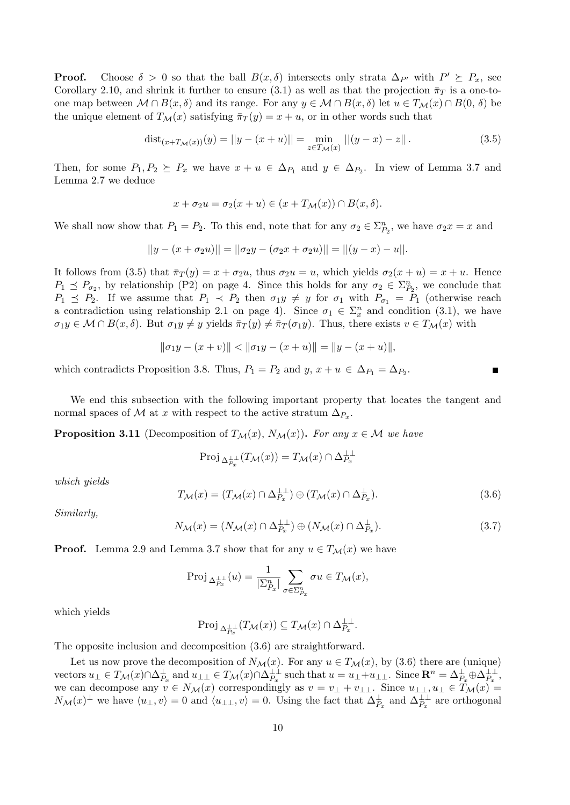**Proof.** Choose  $\delta > 0$  so that the ball  $B(x, \delta)$  intersects only strata  $\Delta_{P'}$  with  $P' \succeq P_x$ , see Corollary 2.10, and shrink it further to ensure (3.1) as well as that the projection  $\bar{\pi}_T$  is a one-toone map between  $M \cap B(x, \delta)$  and its range. For any  $y \in M \cap B(x, \delta)$  let  $u \in T_M(x) \cap B(0, \delta)$  be the unique element of  $T_{\mathcal{M}}(x)$  satisfying  $\bar{\pi}_T(y) = x + u$ , or in other words such that

$$
dist_{(x+T_{\mathcal{M}}(x))}(y) = ||y - (x+u)|| = \min_{z \in T_{\mathcal{M}}(x)} ||(y-x) - z||.
$$
 (3.5)

Then, for some  $P_1, P_2 \succeq P_x$  we have  $x + u \in \Delta_{P_1}$  and  $y \in \Delta_{P_2}$ . In view of Lemma 3.7 and Lemma 2.7 we deduce

$$
x + \sigma_2 u = \sigma_2(x + u) \in (x + T_{\mathcal{M}}(x)) \cap B(x, \delta).
$$

We shall now show that  $P_1 = P_2$ . To this end, note that for any  $\sigma_2 \in \Sigma_{P_2}^n$ , we have  $\sigma_2 x = x$  and

$$
||y - (x + \sigma_2 u)|| = ||\sigma_2 y - (\sigma_2 x + \sigma_2 u)|| = ||(y - x) - u||.
$$

It follows from (3.5) that  $\bar{\pi}_T(y) = x + \sigma_2 u$ , thus  $\sigma_2 u = u$ , which yields  $\sigma_2(x + u) = x + u$ . Hence  $P_1 \preceq P_{\sigma_2}$ , by relationship (P2) on page 4. Since this holds for any  $\sigma_2 \in \Sigma_{P_2}^n$ , we conclude that  $P_1 \preceq P_2$ . If we assume that  $P_1 \prec P_2$  then  $\sigma_1 y \neq y$  for  $\sigma_1$  with  $P_{\sigma_1} = P_1$  (otherwise reach a contradiction using relationship 2.1 on page 4). Since  $\sigma_1 \in \Sigma_x^n$  and condition (3.1), we have  $\sigma_1 y \in \mathcal{M} \cap B(x,\delta)$ . But  $\sigma_1 y \neq y$  yields  $\bar{\pi}_T(y) \neq \bar{\pi}_T(\sigma_1 y)$ . Thus, there exists  $v \in T_{\mathcal{M}}(x)$  with

$$
\|\sigma_1 y - (x + v)\| < \|\sigma_1 y - (x + u)\| = \|y - (x + u)\|,
$$

which contradicts Proposition 3.8. Thus,  $P_1 = P_2$  and  $y, x + u \in \Delta_{P_1} = \Delta_{P_2}$ .

We end this subsection with the following important property that locates the tangent and normal spaces of M at x with respect to the active stratum  $\Delta_{P_x}$ .

**Proposition 3.11** (Decomposition of  $T_M(x)$ ,  $N_M(x)$ ). For any  $x \in M$  we have

$$
\operatorname{Proj}_{\Delta_{P_x}^{\perp\perp}}(T_{\mathcal{M}}(x)) = T_{\mathcal{M}}(x) \cap \Delta_{P_x}^{\perp\perp}
$$

which yields

$$
T_{\mathcal{M}}(x) = (T_{\mathcal{M}}(x) \cap \Delta_{P_x}^{\perp \perp}) \oplus (T_{\mathcal{M}}(x) \cap \Delta_{P_x}^{\perp}). \tag{3.6}
$$

Similarly,

$$
N_{\mathcal{M}}(x) = (N_{\mathcal{M}}(x) \cap \Delta_{P_x}^{\perp \perp}) \oplus (N_{\mathcal{M}}(x) \cap \Delta_{P_x}^{\perp}). \tag{3.7}
$$

**Proof.** Lemma 2.9 and Lemma 3.7 show that for any  $u \in T_{\mathcal{M}}(x)$  we have

$$
\operatorname{Proj}_{\Delta_{P_x}^{\perp\perp}}(u) = \frac{1}{|\Sigma_{P_x}^n|} \sum_{\sigma \in \Sigma_{P_x}^n} \sigma u \in T_{\mathcal{M}}(x),
$$

which yields

$$
\operatorname{Proj}_{\Delta_{P_x}^{\perp\perp}}(T_{\mathcal{M}}(x)) \subseteq T_{\mathcal{M}}(x) \cap \Delta_{P_x}^{\perp\perp}.
$$

The opposite inclusion and decomposition (3.6) are straightforward.

Let us now prove the decomposition of  $N_{\mathcal{M}}(x)$ . For any  $u \in T_{\mathcal{M}}(x)$ , by (3.6) there are (unique) vectors  $u_{\perp} \in T_{\mathcal{M}}(x) \cap \Delta_{P_x}^{\perp}$  and  $u_{\perp\perp} \in T_{\mathcal{M}}(x) \cap \Delta_{P_x}^{\perp\perp}$  such that  $u = u_{\perp} + u_{\perp\perp}$ . Since  $\mathbb{R}^n = \Delta_{P_x}^{\perp} \oplus \Delta_{P_x}^{\perp\perp}$ , we can decompose any  $v \in N_{\mathcal{M}}(x)$  correspondingly as  $v = v_{\perp} + v_{\perp\perp}$ . Since  $u_{\perp\perp}, u_{\perp} \in T_{\mathcal{M}}(x)$  $N_{\mathcal{M}}(x)^{\perp}$  we have  $\langle u_{\perp}, v \rangle = 0$  and  $\langle u_{\perp\perp}, v \rangle = 0$ . Using the fact that  $\Delta_{P_x}^{\perp}$  and  $\Delta_{P_x}^{\perp\perp}$  are orthogonal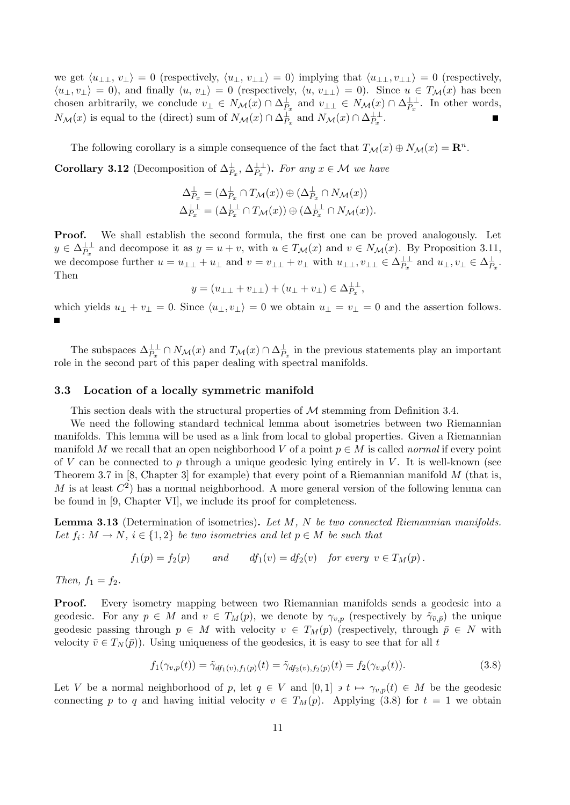we get  $\langle u_{\perp\perp}, v_{\perp} \rangle = 0$  (respectively,  $\langle u_{\perp}, v_{\perp\perp} \rangle = 0$ ) implying that  $\langle u_{\perp\perp}, v_{\perp\perp} \rangle = 0$  (respectively,  $\langle u_\perp, v_\perp \rangle = 0$ ), and finally  $\langle u, v_\perp \rangle = 0$  (respectively,  $\langle u, v_{\perp \perp} \rangle = 0$ ). Since  $u \in T_{\mathcal{M}}(x)$  has been chosen arbitrarily, we conclude  $v_\perp \in N_{\mathcal{M}}(x) \cap \Delta_{P_x}^{\perp}$  and  $v_{\perp\perp} \in N_{\mathcal{M}}(x) \cap \Delta_{P_x}^{\perp\perp}$ . In other words,  $N_{\mathcal{M}}(x)$  is equal to the (direct) sum of  $N_{\mathcal{M}}(x) \cap \Delta_{P_x}^{\perp}$  and  $N_{\mathcal{M}}(x) \cap \Delta_{P_x}^{\perp\perp}$ .

The following corollary is a simple consequence of the fact that  $T_{\mathcal{M}}(x) \oplus N_{\mathcal{M}}(x) = \mathbb{R}^n$ .

**Corollary 3.12** (Decomposition of  $\Delta_{P_x}^{\perp}, \Delta_{P_x}^{\perp\perp}$ ). For any  $x \in \mathcal{M}$  we have

$$
\Delta_{P_x}^{\perp} = (\Delta_{P_x}^{\perp} \cap T_{\mathcal{M}}(x)) \oplus (\Delta_{P_x}^{\perp} \cap N_{\mathcal{M}}(x))
$$
  

$$
\Delta_{P_x}^{\perp \perp} = (\Delta_{P_x}^{\perp \perp} \cap T_{\mathcal{M}}(x)) \oplus (\Delta_{P_x}^{\perp \perp} \cap N_{\mathcal{M}}(x)).
$$

Proof. We shall establish the second formula, the first one can be proved analogously. Let  $y \in \Delta_{P_x}^{\perp\perp}$  and decompose it as  $y = u + v$ , with  $u \in T_{\mathcal{M}}(x)$  and  $v \in N_{\mathcal{M}}(x)$ . By Proposition 3.11, we decompose further  $u = u_{\perp\perp} + u_{\perp}$  and  $v = v_{\perp\perp} + v_{\perp}$  with  $u_{\perp\perp}, v_{\perp\perp} \in \Delta_{P_x}^{\perp\perp}$  and  $u_{\perp}, v_{\perp} \in \Delta_{P_x}^{\perp}$ . Then

$$
y = (u_{\perp\perp} + v_{\perp\perp}) + (u_{\perp} + v_{\perp}) \in \Delta_{P_x}^{\perp\perp},
$$

which yields  $u_{\perp} + v_{\perp} = 0$ . Since  $\langle u_{\perp}, v_{\perp} \rangle = 0$  we obtain  $u_{\perp} = v_{\perp} = 0$  and the assertion follows.

The subspaces  $\Delta_{P_x}^{\perp\perp} \cap N_{\mathcal{M}}(x)$  and  $T_{\mathcal{M}}(x) \cap \Delta_{P_x}^{\perp}$  in the previous statements play an important role in the second part of this paper dealing with spectral manifolds.

### 3.3 Location of a locally symmetric manifold

This section deals with the structural properties of  $\mathcal M$  stemming from Definition 3.4.

We need the following standard technical lemma about isometries between two Riemannian manifolds. This lemma will be used as a link from local to global properties. Given a Riemannian manifold M we recall that an open neighborhood V of a point  $p \in M$  is called *normal* if every point of V can be connected to p through a unique geodesic lying entirely in V. It is well-known (see Theorem 3.7 in [8, Chapter 3] for example) that every point of a Riemannian manifold  $M$  (that is, M is at least  $C^2$ ) has a normal neighborhood. A more general version of the following lemma can be found in [9, Chapter VI], we include its proof for completeness.

Lemma 3.13 (Determination of isometries). Let M, N be two connected Riemannian manifolds. Let  $f_i \colon M \to N$ ,  $i \in \{1,2\}$  be two isometries and let  $p \in M$  be such that

$$
f_1(p) = f_2(p)
$$
 and  $df_1(v) = df_2(v)$  for every  $v \in T_M(p)$ .

Then,  $f_1 = f_2$ .

Proof. Every isometry mapping between two Riemannian manifolds sends a geodesic into a geodesic. For any  $p \in M$  and  $v \in T_M(p)$ , we denote by  $\gamma_{v,p}$  (respectively by  $\tilde{\gamma}_{\bar{v},\bar{p}}$ ) the unique geodesic passing through  $p \in M$  with velocity  $v \in T_M(p)$  (respectively, through  $\bar{p} \in N$  with velocity  $\bar{v} \in T_N(\bar{p})$ . Using uniqueness of the geodesics, it is easy to see that for all t

$$
f_1(\gamma_{v,p}(t)) = \tilde{\gamma}_{df_1(v),f_1(p)}(t) = \tilde{\gamma}_{df_2(v),f_2(p)}(t) = f_2(\gamma_{v,p}(t)).
$$
\n(3.8)

Let V be a normal neighborhood of p, let  $q \in V$  and  $[0,1] \ni t \mapsto \gamma_{v,p}(t) \in M$  be the geodesic connecting p to q and having initial velocity  $v \in T_M(p)$ . Applying (3.8) for  $t = 1$  we obtain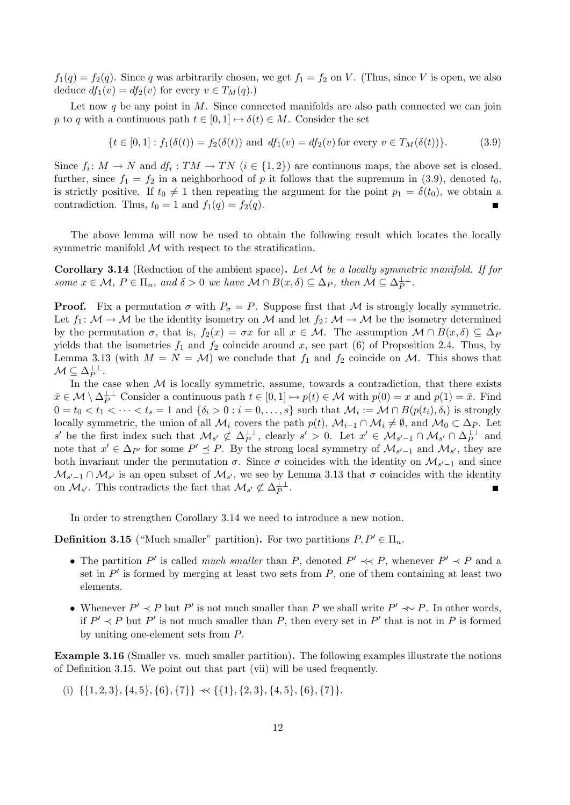$f_1(q) = f_2(q)$ . Since q was arbitrarily chosen, we get  $f_1 = f_2$  on V. (Thus, since V is open, we also deduce  $df_1(v) = df_2(v)$  for every  $v \in T_M(q)$ .

Let now  $q$  be any point in  $M$ . Since connected manifolds are also path connected we can join p to q with a continuous path  $t \in [0, 1] \mapsto \delta(t) \in M$ . Consider the set

$$
\{t \in [0,1]: f_1(\delta(t)) = f_2(\delta(t)) \text{ and } df_1(v) = df_2(v) \text{ for every } v \in T_M(\delta(t))\}.
$$
 (3.9)

Since  $f_i: M \to N$  and  $df_i: TM \to TN$   $(i \in \{1,2\})$  are continuous maps, the above set is closed. further, since  $f_1 = f_2$  in a neighborhood of p it follows that the supremum in (3.9), denoted  $t_0$ , is strictly positive. If  $t_0 \neq 1$  then repeating the argument for the point  $p_1 = \delta(t_0)$ , we obtain a contradiction. Thus,  $t_0 = 1$  and  $f_1(q) = f_2(q)$ .

The above lemma will now be used to obtain the following result which locates the locally symmetric manifold  $M$  with respect to the stratification.

**Corollary 3.14** (Reduction of the ambient space). Let  $M$  be a locally symmetric manifold. If for some  $x \in \mathcal{M}, P \in \Pi_n$ , and  $\delta > 0$  we have  $\mathcal{M} \cap B(x, \delta) \subseteq \Delta_P$ , then  $\mathcal{M} \subseteq \Delta_P^{\perp \perp}$ .

**Proof.** Fix a permutation  $\sigma$  with  $P_{\sigma} = P$ . Suppose first that M is strongly locally symmetric. Let  $f_1: \mathcal{M} \to \mathcal{M}$  be the identity isometry on M and let  $f_2: \mathcal{M} \to \mathcal{M}$  be the isometry determined by the permutation  $\sigma$ , that is,  $f_2(x) = \sigma x$  for all  $x \in \mathcal{M}$ . The assumption  $\mathcal{M} \cap B(x,\delta) \subseteq \Delta_P$ yields that the isometries  $f_1$  and  $f_2$  coincide around x, see part (6) of Proposition 2.4. Thus, by Lemma 3.13 (with  $M = N = M$ ) we conclude that  $f_1$  and  $f_2$  coincide on M. This shows that  $\mathcal{M} \subseteq \Delta_P^{\perp \perp}.$ 

In the case when  $M$  is locally symmetric, assume, towards a contradiction, that there exists  $\bar{x} \in \mathcal{M} \setminus \Delta_P^{\perp \perp}$  Consider a continuous path  $t \in [0,1] \mapsto p(t) \in \mathcal{M}$  with  $p(0) = x$  and  $p(1) = \bar{x}$ . Find  $0 = t_0 < t_1 < \cdots < t_s = 1$  and  $\{\delta_i > 0 : i = 0, \ldots, s\}$  such that  $\mathcal{M}_i := \mathcal{M} \cap B(p(t_i), \delta_i)$  is strongly locally symmetric, the union of all  $\mathcal{M}_i$  covers the path  $p(t)$ ,  $\mathcal{M}_{i-1} \cap \mathcal{M}_i \neq \emptyset$ , and  $\mathcal{M}_0 \subset \Delta_P$ . Let s' be the first index such that  $\mathcal{M}_{s'} \not\subset \Delta_P^{\perp\perp}$ , clearly  $s' > 0$ . Let  $x' \in \mathcal{M}_{s'-1} \cap \mathcal{M}_{s'} \cap \Delta_P^{\perp\perp}$  and note that  $x' \in \Delta_{P'}$  for some  $P' \preceq P$ . By the strong local symmetry of  $\mathcal{M}_{s'-1}$  and  $\mathcal{M}_{s'}$ , they are both invariant under the permutation  $\sigma$ . Since  $\sigma$  coincides with the identity on  $\mathcal{M}_{s'-1}$  and since  $\mathcal{M}_{s'-1}\cap\mathcal{M}_{s'}$  is an open subset of  $\mathcal{M}_{s'}$ , we see by Lemma 3.13 that  $\sigma$  coincides with the identity on  $\mathcal{M}_{s'}$ . This contradicts the fact that  $\mathcal{M}_{s'} \not\subset \Delta_P^{\perp \perp}$ . Г

In order to strengthen Corollary 3.14 we need to introduce a new notion.

**Definition 3.15** ("Much smaller" partition). For two partitions  $P, P' \in \Pi_n$ .

- The partition P' is called much smaller than P, denoted  $P' \prec P$ , whenever  $P' \prec P$  and a set in  $P'$  is formed by merging at least two sets from  $P$ , one of them containing at least two elements.
- Whenever  $P' \prec P$  but P' is not much smaller than P we shall write  $P' \prec P$ . In other words, if  $P' \prec P$  but P' is not much smaller than P, then every set in P' that is not in P is formed by uniting one-element sets from P.

Example 3.16 (Smaller vs. much smaller partition). The following examples illustrate the notions of Definition 3.15. We point out that part (vii) will be used frequently.

(i) 
$$
\{\{1,2,3\},\{4,5\},\{6\},\{7\}\}\n\ll \{\{1\},\{2,3\},\{4,5\},\{6\},\{7\}\}.
$$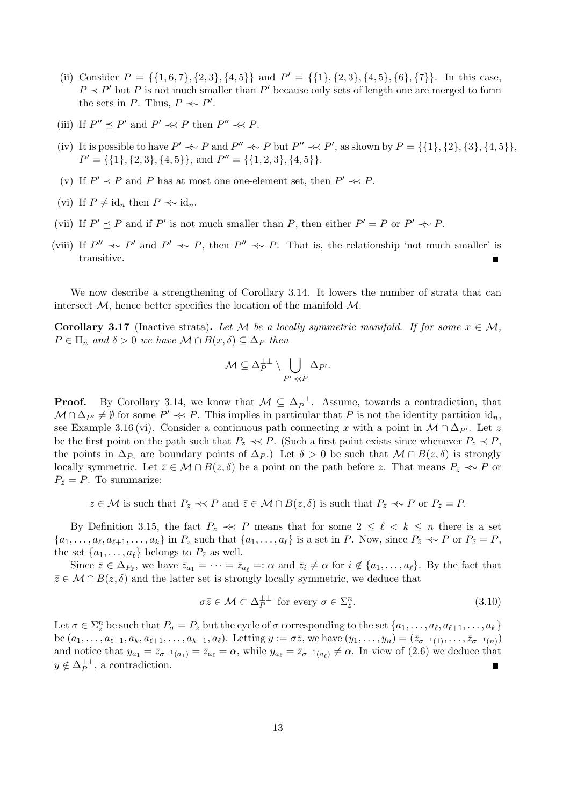- (ii) Consider  $P = \{\{1,6,7\},\{2,3\},\{4,5\}\}\$ and  $P' = \{\{1\},\{2,3\},\{4,5\},\{6\},\{7\}\}\$ . In this case,  $P \prec P'$  but P is not much smaller than P' because only sets of length one are merged to form the sets in P. Thus,  $P \nightharpoonup P'$ .
- (iii) If  $P'' \preceq P'$  and  $P' \prec P$  then  $P'' \prec P$ .
- (iv) It is possible to have  $P' \nightharpoonup P$  and  $P'' \nightharpoonup P$  but  $P'' \nightharpoonup P'$ , as shown by  $P = \{\{1\}, \{2\}, \{3\}, \{4, 5\}\},\$  $P' = \{\{1\}, \{2, 3\}, \{4, 5\}\}\text{, and } P'' = \{\{1, 2, 3\}, \{4, 5\}\}\text{.}$
- (v) If  $P' \prec P$  and P has at most one one-element set, then  $P' \prec P$ .
- (vi) If  $P \neq \mathrm{id}_n$  then  $P \nightharpoonup \mathrm{id}_n$ .
- (vii) If  $P' \preceq P$  and if P' is not much smaller than P, then either  $P' = P$  or  $P' \nightharpoonup P$ .
- (viii) If  $P'' \nightharpoonup P'$  and  $P' \nightharpoonup P$ , then  $P'' \nightharpoonup P$ . That is, the relationship 'not much smaller' is transitive.  $\blacksquare$

We now describe a strengthening of Corollary 3.14. It lowers the number of strata that can intersect  $M$ , hence better specifies the location of the manifold  $M$ .

**Corollary 3.17** (Inactive strata). Let M be a locally symmetric manifold. If for some  $x \in M$ ,  $P \in \Pi_n$  and  $\delta > 0$  we have  $\mathcal{M} \cap B(x, \delta) \subseteq \Delta_P$  then

$$
\mathcal{M} \subseteq \Delta_P^{\perp\perp} \setminus \bigcup_{P' \prec\!\langle P \rangle} \Delta_{P'}.
$$

**Proof.** By Corollary 3.14, we know that  $M \subseteq \Delta_P^{\perp \perp}$ . Assume, towards a contradiction, that  $\mathcal{M} \cap \Delta_{P'} \neq \emptyset$  for some  $P' \ll P$ . This implies in particular that P is not the identity partition id<sub>n</sub>, see Example 3.16 (vi). Consider a continuous path connecting x with a point in  $M \cap \Delta_{P'}$ . Let z be the first point on the path such that  $P_z \ll P$ . (Such a first point exists since whenever  $P_z \prec P$ , the points in  $\Delta_{P_z}$  are boundary points of  $\Delta_P$ .) Let  $\delta > 0$  be such that  $\mathcal{M} \cap B(z, \delta)$  is strongly locally symmetric. Let  $\bar{z} \in \mathcal{M} \cap B(z, \delta)$  be a point on the path before z. That means  $P_{\bar{z}} \nightharpoonup P$  or  $P_{\bar{z}} = P$ . To summarize:

 $z \in \mathcal{M}$  is such that  $P_z \prec P$  and  $\overline{z} \in \mathcal{M} \cap B(z, \delta)$  is such that  $P_{\overline{z}} \prec P$  or  $P_{\overline{z}} = P$ .

By Definition 3.15, the fact  $P_z \ll P$  means that for some  $2 \leq \ell \leq k \leq n$  there is a set  $\{a_1, \ldots, a_\ell, a_{\ell+1}, \ldots, a_k\}$  in  $P_z$  such that  $\{a_1, \ldots, a_\ell\}$  is a set in P. Now, since  $P_{\bar{z}} \prec\!\!\!\prec P$  or  $P_{\bar{z}} = P$ , the set  $\{a_1, \ldots, a_\ell\}$  belongs to  $P_{\bar{z}}$  as well.

Since  $\bar{z} \in \Delta_{P_{\bar{z}}}$ , we have  $\bar{z}_{a_1} = \cdots = \bar{z}_{a_\ell} =: \alpha$  and  $\bar{z}_i \neq \alpha$  for  $i \notin \{a_1, \ldots, a_\ell\}$ . By the fact that  $\bar{z} \in \mathcal{M} \cap B(z, \delta)$  and the latter set is strongly locally symmetric, we deduce that

$$
\sigma \bar{z} \in \mathcal{M} \subset \Delta_P^{\perp \perp} \text{ for every } \sigma \in \Sigma_z^n. \tag{3.10}
$$

Let  $\sigma \in \Sigma_z^n$  be such that  $P_\sigma = P_z$  but the cycle of  $\sigma$  corresponding to the set  $\{a_1, \ldots, a_\ell, a_{\ell+1}, \ldots, a_k\}$ be  $(a_1, \ldots, a_{\ell-1}, a_k, a_{\ell+1}, \ldots, a_{k-1}, a_{\ell})$ . Letting  $y := \sigma \overline{z}$ , we have  $(y_1, \ldots, y_n) = (\overline{z}_{\sigma^{-1}(1)}, \ldots, \overline{z}_{\sigma^{-1}(n)})$ and notice that  $y_{a_1} = \bar{z}_{\sigma^{-1}(a_1)} = \bar{z}_{a_\ell} = \alpha$ , while  $y_{a_\ell} = \bar{z}_{\sigma^{-1}(a_\ell)} \neq \alpha$ . In view of (2.6) we deduce that  $y \notin \Delta_P^{\perp \perp}$ , a contradiction.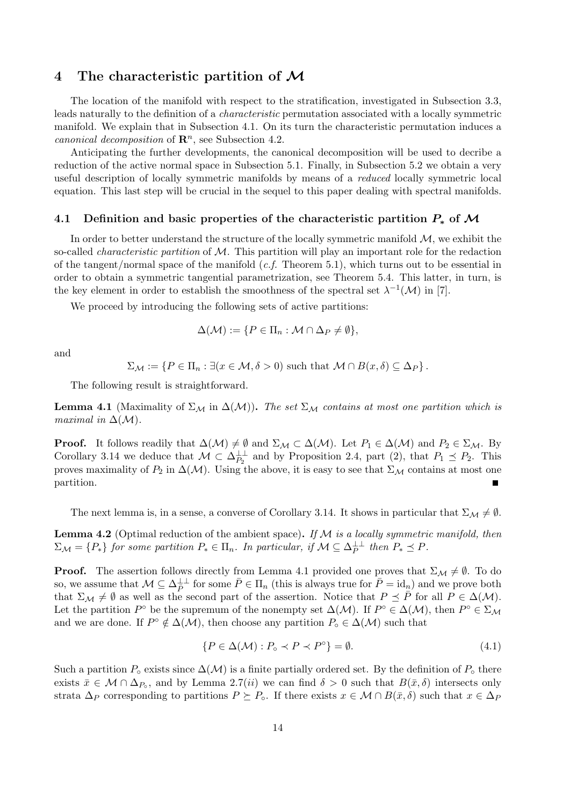### 4 The characteristic partition of M

The location of the manifold with respect to the stratification, investigated in Subsection 3.3, leads naturally to the definition of a characteristic permutation associated with a locally symmetric manifold. We explain that in Subsection 4.1. On its turn the characteristic permutation induces a canonical decomposition of  $\mathbb{R}^n$ , see Subsection 4.2.

Anticipating the further developments, the canonical decomposition will be used to decribe a reduction of the active normal space in Subsection 5.1. Finally, in Subsection 5.2 we obtain a very useful description of locally symmetric manifolds by means of a reduced locally symmetric local equation. This last step will be crucial in the sequel to this paper dealing with spectral manifolds.

#### 4.1 Definition and basic properties of the characteristic partition  $P_*$  of M

In order to better understand the structure of the locally symmetric manifold  $\mathcal{M}$ , we exhibit the so-called *characteristic partition* of  $M$ . This partition will play an important role for the redaction of the tangent/normal space of the manifold  $(c.f.$  Theorem 5.1), which turns out to be essential in order to obtain a symmetric tangential parametrization, see Theorem 5.4. This latter, in turn, is the key element in order to establish the smoothness of the spectral set  $\lambda^{-1}(\mathcal{M})$  in [7].

We proceed by introducing the following sets of active partitions:

$$
\Delta(\mathcal{M}) := \{ P \in \Pi_n : \mathcal{M} \cap \Delta_P \neq \emptyset \},
$$

and

$$
\Sigma_{\mathcal{M}} := \{ P \in \Pi_n : \exists (x \in \mathcal{M}, \delta > 0) \text{ such that } \mathcal{M} \cap B(x, \delta) \subseteq \Delta_P \}.
$$

The following result is straightforward.

**Lemma 4.1** (Maximality of  $\Sigma_M$  in  $\Delta(\mathcal{M})$ ). The set  $\Sigma_M$  contains at most one partition which is maximal in  $\Delta(\mathcal{M})$ .

**Proof.** It follows readily that  $\Delta(\mathcal{M}) \neq \emptyset$  and  $\Sigma_{\mathcal{M}} \subset \Delta(\mathcal{M})$ . Let  $P_1 \in \Delta(\mathcal{M})$  and  $P_2 \in \Sigma_{\mathcal{M}}$ . By Corollary 3.14 we deduce that  $\mathcal{M} \subset \Delta_{P_2}^{\perp\perp}$  and by Proposition 2.4, part (2), that  $P_1 \preceq P_2$ . This proves maximality of  $P_2$  in  $\Delta(\mathcal{M})$ . Using the above, it is easy to see that  $\Sigma_{\mathcal{M}}$  contains at most one partition.

The next lemma is, in a sense, a converse of Corollary 3.14. It shows in particular that  $\Sigma_M \neq \emptyset$ .

**Lemma 4.2** (Optimal reduction of the ambient space). If  $M$  is a locally symmetric manifold, then  $\Sigma_M = \{P_*\}$  for some partition  $P_* \in \Pi_n$ . In particular, if  $\mathcal{M} \subseteq \Delta_P^{\perp \perp}$  then  $P_* \preceq P$ .

**Proof.** The assertion follows directly from Lemma 4.1 provided one proves that  $\Sigma_M \neq \emptyset$ . To do so, we assume that  $\mathcal{M} \subseteq \Delta_{\overline{P}}^{\perp \perp}$  for some  $\overline{P} \in \Pi_n$  (this is always true for  $\overline{P} = id_n$ ) and we prove both that  $\Sigma_M \neq \emptyset$  as well as the second part of the assertion. Notice that  $P \preceq \overline{P}$  for all  $P \in \Delta(M)$ . Let the partition  $P^{\circ}$  be the supremum of the nonempty set  $\Delta(\mathcal{M})$ . If  $P^{\circ} \in \Delta(\mathcal{M})$ , then  $P^{\circ} \in \Sigma_{\mathcal{M}}$ and we are done. If  $P^{\circ} \notin \Delta(\mathcal{M})$ , then choose any partition  $P_{\circ} \in \Delta(\mathcal{M})$  such that

$$
\{P \in \Delta(\mathcal{M}) : P_{\circ} \prec P \prec P^{\circ}\} = \emptyset. \tag{4.1}
$$

Such a partition  $P_{\circ}$  exists since  $\Delta(\mathcal{M})$  is a finite partially ordered set. By the definition of  $P_{\circ}$  there exists  $\bar{x} \in \mathcal{M} \cap \Delta_{P_o}$ , and by Lemma 2.7(*ii*) we can find  $\delta > 0$  such that  $B(\bar{x}, \delta)$  intersects only strata  $\Delta_P$  corresponding to partitions  $P \succeq P_{\circ}$ . If there exists  $x \in \mathcal{M} \cap B(\bar{x}, \delta)$  such that  $x \in \Delta_P$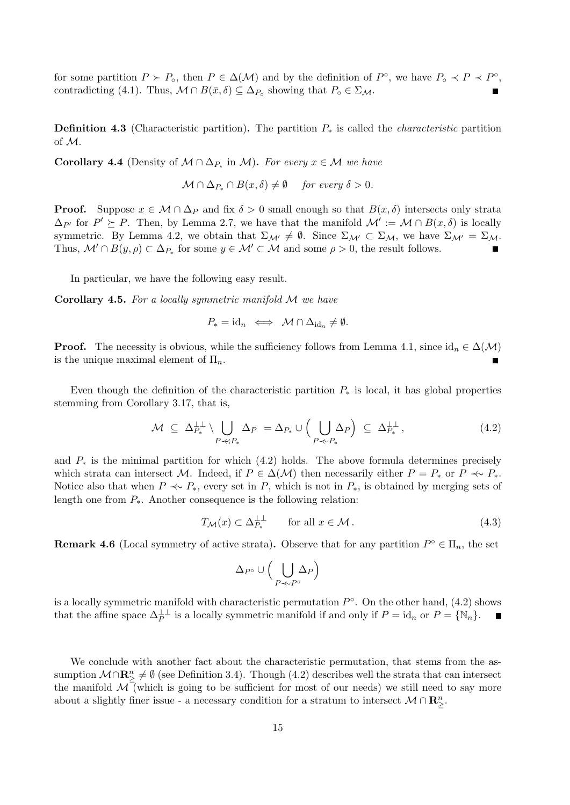for some partition  $P \succ P_o$ , then  $P \in \Delta(\mathcal{M})$  and by the definition of  $P^{\circ}$ , we have  $P_o \prec P \prec P^{\circ}$ , contradicting (4.1). Thus,  $M \cap B(\bar{x}, \delta) \subseteq \Delta_{P_{\circ}}$  showing that  $P_{\circ} \in \Sigma_{\mathcal{M}}$ .

**Definition 4.3** (Characteristic partition). The partition  $P_*$  is called the *characteristic* partition of M.

**Corollary 4.4** (Density of  $M \cap \Delta_{P_*}$  in M). For every  $x \in M$  we have

$$
\mathcal{M} \cap \Delta_{P_*} \cap B(x,\delta) \neq \emptyset \quad \text{ for every } \delta > 0.
$$

**Proof.** Suppose  $x \in \mathcal{M} \cap \Delta_P$  and fix  $\delta > 0$  small enough so that  $B(x, \delta)$  intersects only strata  $\Delta_{P'}$  for  $P' \succeq P$ . Then, by Lemma 2.7, we have that the manifold  $\mathcal{M}':=\mathcal{M} \cap B(x,\delta)$  is locally symmetric. By Lemma 4.2, we obtain that  $\Sigma_{\mathcal{M}'}\neq \emptyset$ . Since  $\Sigma_{\mathcal{M}'}\subset \Sigma_{\mathcal{M}}$ , we have  $\Sigma_{\mathcal{M}'}=\Sigma_{\mathcal{M}}$ . Thus,  $\mathcal{M}' \cap B(y, \rho) \subset \Delta_{P^*}$  for some  $y \in \mathcal{M}' \subset \mathcal{M}$  and some  $\rho > 0$ , the result follows.

In particular, we have the following easy result.

Corollary 4.5. For a locally symmetric manifold M we have

$$
P_* = \mathrm{id}_n \iff \mathcal{M} \cap \Delta_{\mathrm{id}_n} \neq \emptyset.
$$

**Proof.** The necessity is obvious, while the sufficiency follows from Lemma 4.1, since  $id_n \in \Delta(\mathcal{M})$ is the unique maximal element of  $\Pi_n$ .

Even though the definition of the characteristic partition  $P_*$  is local, it has global properties stemming from Corollary 3.17, that is,

$$
\mathcal{M} \subseteq \Delta_{P_*}^{\perp \perp} \setminus \bigcup_{P \prec P_*} \Delta_P = \Delta_{P_*} \cup \left( \bigcup_{P \prec P_*} \Delta_P \right) \subseteq \Delta_{P_*}^{\perp \perp},\tag{4.2}
$$

and  $P_*$  is the minimal partition for which (4.2) holds. The above formula determines precisely which strata can intersect M. Indeed, if  $P \in \Delta(\mathcal{M})$  then necessarily either  $P = P_*$  or  $P \nightharpoonup P_*$ . Notice also that when  $P \nightharpoonup P^*$ , every set in P, which is not in  $P^*$ , is obtained by merging sets of length one from  $P_{\ast}$ . Another consequence is the following relation:

$$
T_{\mathcal{M}}(x) \subset \Delta_{P_*}^{\perp \perp} \qquad \text{for all } x \in \mathcal{M} \,.
$$

**Remark 4.6** (Local symmetry of active strata). Observe that for any partition  $P^{\circ} \in \Pi_n$ , the set

$$
\Delta_{P^{\circ}} \cup \Big(\bigcup_{P \prec P^{\circ}} \Delta_P\Big)
$$

is a locally symmetric manifold with characteristic permutation  $P^{\circ}$ . On the other hand, (4.2) shows that the affine space  $\Delta_P^{\perp\perp}$  is a locally symmetric manifold if and only if  $P = id_n$  or  $P = \{ \mathbb{N}_n \}.$  $\blacksquare$ 

We conclude with another fact about the characteristic permutation, that stems from the assumption  $M \cap \mathbb{R}^n_\geq \neq \emptyset$  (see Definition 3.4). Though (4.2) describes well the strata that can intersect the manifold  $M$  (which is going to be sufficient for most of our needs) we still need to say more about a slightly finer issue - a necessary condition for a stratum to intersect  $\mathcal{M} \cap \mathbb{R}^n_{\geq}$ .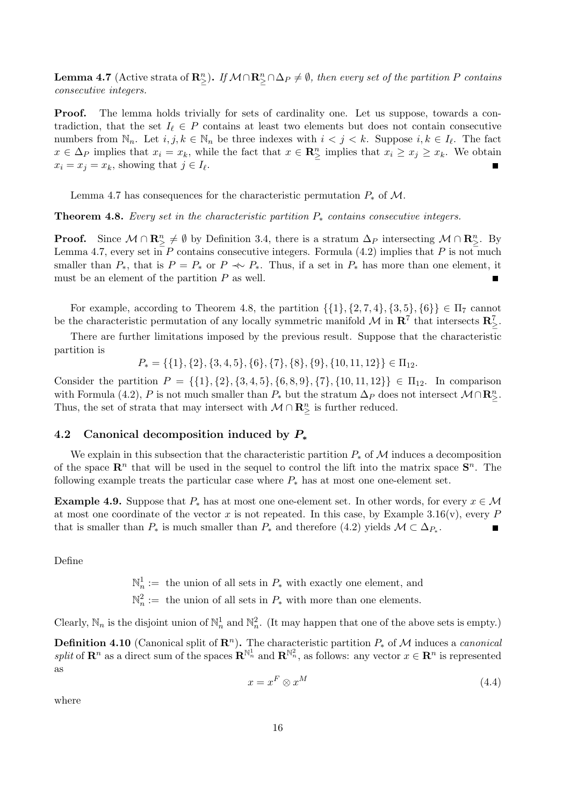**Lemma 4.7** (Active strata of  $\mathbb{R}^n_\geq$ ). If  $M \cap \mathbb{R}^n_\geq \cap \Delta_P \neq \emptyset$ , then every set of the partition P contains consecutive integers.

Proof. The lemma holds trivially for sets of cardinality one. Let us suppose, towards a contradiction, that the set  $I_\ell \in P$  contains at least two elements but does not contain consecutive numbers from  $\mathbb{N}_n$ . Let  $i, j, k \in \mathbb{N}_n$  be three indexes with  $i < j < k$ . Suppose  $i, k \in I_\ell$ . The fact  $x \in \Delta_P$  implies that  $x_i = x_k$ , while the fact that  $x \in \mathbb{R}^n$  implies that  $x_i \geq x_j \geq x_k$ . We obtain  $x_i = x_j = x_k$ , showing that  $j \in I_\ell$ .

Lemma 4.7 has consequences for the characteristic permutation  $P_*$  of M.

**Theorem 4.8.** Every set in the characteristic partition  $P_*$  contains consecutive integers.

**Proof.** Since  $M \cap \mathbb{R}^n \neq \emptyset$  by Definition 3.4, there is a stratum  $\Delta_P$  intersecting  $M \cap \mathbb{R}^n \subseteq \Omega$ . By Lemma 4.7, every set in  $P$  contains consecutive integers. Formula  $(4.2)$  implies that  $P$  is not much smaller than  $P_*$ , that is  $P = P_*$  or  $P \nightharpoonup P_*$ . Thus, if a set in  $P_*$  has more than one element, it must be an element of the partition  $P$  as well.  $\blacksquare$ 

For example, according to Theorem 4.8, the partition  $\{\{1\}, \{2, 7, 4\}, \{3, 5\}, \{6\}\}\in \Pi_7$  cannot be the characteristic permutation of any locally symmetric manifold  $\mathcal M$  in  $\mathbb R^7$  that intersects  $\mathbb R^7_{\geq}$ .

There are further limitations imposed by the previous result. Suppose that the characteristic partition is

 $P_* = \{\{1\}, \{2\}, \{3, 4, 5\}, \{6\}, \{7\}, \{8\}, \{9\}, \{10, 11, 12\}\} \in \Pi_{12}.$ 

Consider the partition  $P = \{\{1\}, \{2\}, \{3, 4, 5\}, \{6, 8, 9\}, \{7\}, \{10, 11, 12\}\}\in \Pi_{12}$ . In comparison with Formula (4.2), P is not much smaller than  $P_*$  but the stratum  $\Delta_P$  does not intersect  $\mathcal{M} \cap \mathbb{R}^n_{\geq}$ . Thus, the set of strata that may intersect with  $\mathcal{M} \cap \mathbb{R}^n_{\geq 0}$  is further reduced.

### 4.2 Canonical decomposition induced by P<sup>∗</sup>

We explain in this subsection that the characteristic partition  $P_*$  of M induces a decomposition of the space  $\mathbb{R}^n$  that will be used in the sequel to control the lift into the matrix space  $\mathbb{S}^n$ . The following example treats the particular case where  $P_*$  has at most one one-element set.

**Example 4.9.** Suppose that  $P_*$  has at most one one-element set. In other words, for every  $x \in \mathcal{M}$ at most one coordinate of the vector x is not repeated. In this case, by Example 3.16(v), every P that is smaller than  $P_*$  is much smaller than  $P_*$  and therefore (4.2) yields  $\mathcal{M} \subset \Delta_{P_*}$ .

Define

 $\mathbb{N}_n^1 := \text{ the union of all sets in } P_* \text{ with exactly one element, and}$  $\mathbb{N}_n^2 :=$  the union of all sets in  $P_*$  with more than one elements.

Clearly,  $\mathbb{N}_n$  is the disjoint union of  $\mathbb{N}_n^1$  and  $\mathbb{N}_n^2$ . (It may happen that one of the above sets is empty.)

**Definition 4.10** (Canonical split of  $\mathbb{R}^n$ ). The characteristic partition  $P_*$  of M induces a *canonical* split of  $\mathbf{R}^n$  as a direct sum of the spaces  $\mathbf{R}^{\mathbb{N}_n^1}$  and  $\mathbf{R}^{\mathbb{N}_n^2}$ , as follows: any vector  $x \in \mathbf{R}^n$  is represented as

$$
x = x^F \otimes x^M \tag{4.4}
$$

where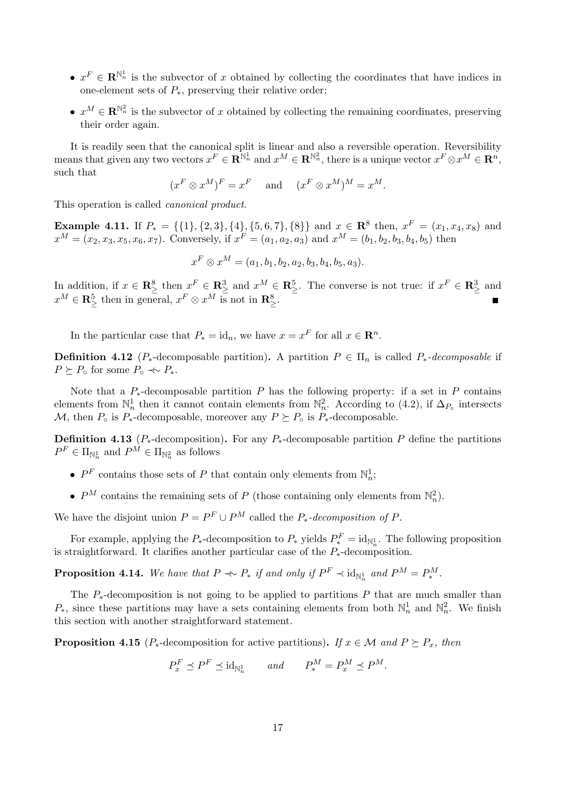- $x^F \in \mathbb{R}^{\mathbb{N}_n^1}$  is the subvector of x obtained by collecting the coordinates that have indices in one-element sets of  $P_*$ , preserving their relative order;
- $x^M \in \mathbb{R}^{\mathbb{N}_n^2}$  is the subvector of x obtained by collecting the remaining coordinates, preserving their order again.

It is readily seen that the canonical split is linear and also a reversible operation. Reversibility means that given any two vectors  $x^F \in \mathbf{R}^{\mathbb{N}_n^1}$  and  $x^M \in \mathbf{R}^{\mathbb{N}_n^2}$ , there is a unique vector  $x^F \otimes x^M \in \mathbf{R}^n$ , such that

$$
(x^F \otimes x^M)^F = x^F
$$
 and  $(x^F \otimes x^M)^M = x^M$ .

This operation is called canonical product.

**Example 4.11.** If  $P_* = \{\{1\}, \{2, 3\}, \{4\}, \{5, 6, 7\}, \{8\}\}\$ and  $x \in \mathbb{R}^8$  then,  $x^F = (x_1, x_4, x_8)$  and  $x^M = (x_2, x_3, x_5, x_6, x_7)$ . Conversely, if  $x^F = (a_1, a_2, a_3)$  and  $x^M = (b_1, b_2, b_3, b_4, b_5)$  then

 $x^F\otimes x^M = (a_1, b_1, b_2, a_2, b_3, b_4, b_5, a_3).$ 

In addition, if  $x \in \mathbb{R}^8_\ge$  then  $x^F \in \mathbb{R}^3_\ge$  and  $x^M \in \mathbb{R}^5_\ge$ . The converse is not true: if  $x^F \in \mathbb{R}^3_\ge$  and  $x^M \in \mathbb{R}^5_\geq$  then in general,  $x^F \otimes x^M$  is not in  $\mathbb{R}^8_\geq$ .

In the particular case that  $P_* = id_n$ , we have  $x = x^F$  for all  $x \in \mathbb{R}^n$ .

**Definition 4.12** ( $P_*$ -decomposable partition). A partition  $P \in \Pi_n$  is called  $P_*$ -decomposable if  $P \succeq P_{\circ}$  for some  $P_{\circ} \nightharpoonup P_{*}$ .

Note that a  $P_{*}$ -decomposable partition P has the following property: if a set in P contains elements from  $\mathbb{N}_n^1$  then it cannot contain elements from  $\mathbb{N}_n^2$ . According to (4.2), if  $\Delta_{P_o}$  intersects M, then  $P_{\circ}$  is  $P_{*}$ -decomposable, moreover any  $P \succeq P_{\circ}$  is  $P_{*}$ -decomposable.

**Definition 4.13** ( $P_*$ -decomposition). For any  $P_*$ -decomposable partition P define the partitions  $P^F \in \Pi_{\mathbb{N}_n^1}$  and  $P^M \in \Pi_{\mathbb{N}_n^2}$  as follows

- $P<sup>F</sup>$  contains those sets of P that contain only elements from  $\mathbb{N}_n^1$ ;
- $P^M$  contains the remaining sets of P (those containing only elements from  $\mathbb{N}_n^2$ ).

We have the disjoint union  $P = P^F \cup P^M$  called the  $P_*$ -decomposition of P.

For example, applying the  $P_*$ -decomposition to  $P_*$  yields  $P_*^F = id_{\mathbb{N}_n^1}$ . The following proposition is straightforward. It clarifies another particular case of the  $P_*$ -decomposition.

**Proposition 4.14.** We have that  $P \nightharpoonup P_*$  if and only if  $P^F \nightharpoonup id_{\mathbb{N}_n^1}$  and  $P^M = P_*^M$ .

The  $P_{*}$ -decomposition is not going to be applied to partitions P that are much smaller than  $P_*$ , since these partitions may have a sets containing elements from both  $\mathbb{N}_n^1$  and  $\mathbb{N}_n^2$ . We finish this section with another straightforward statement.

**Proposition 4.15** ( $P_*$ -decomposition for active partitions). If  $x \in \mathcal{M}$  and  $P \succeq P_x$ , then

 $P_x^F \preceq P^F \preceq \text{id}_{\mathbb{N}_n^1}$  and  $P_*^M = P_x^M \preceq P^M$ .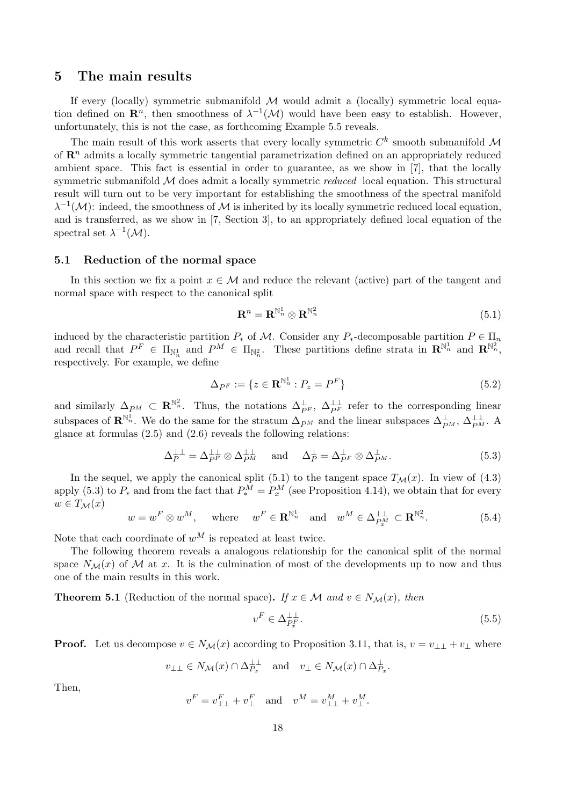### 5 The main results

If every (locally) symmetric submanifold  $M$  would admit a (locally) symmetric local equation defined on  $\mathbb{R}^n$ , then smoothness of  $\lambda^{-1}(\mathcal{M})$  would have been easy to establish. However, unfortunately, this is not the case, as forthcoming Example 5.5 reveals.

The main result of this work asserts that every locally symmetric  $C^k$  smooth submanifold M of  $\mathbb{R}^n$  admits a locally symmetric tangential parametrization defined on an appropriately reduced ambient space. This fact is essential in order to guarantee, as we show in [7], that the locally symmetric submanifold  $\mathcal M$  does admit a locally symmetric *reduced* local equation. This structural result will turn out to be very important for establishing the smoothness of the spectral manifold  $\lambda^{-1}(\mathcal{M})$ : indeed, the smoothness of M is inherited by its locally symmetric reduced local equation, and is transferred, as we show in [7, Section 3], to an appropriately defined local equation of the spectral set  $\lambda^{-1}(\mathcal{M})$ .

#### 5.1 Reduction of the normal space

In this section we fix a point  $x \in \mathcal{M}$  and reduce the relevant (active) part of the tangent and normal space with respect to the canonical split

$$
\mathbf{R}^n = \mathbf{R}^{\mathbb{N}_n^1} \otimes \mathbf{R}^{\mathbb{N}_n^2} \tag{5.1}
$$

induced by the characteristic partition  $P_*$  of M. Consider any  $P_*$ -decomposable partition  $P \in \Pi_n$ and recall that  $P^F \in \Pi_{\mathbb{N}_n^1}$  and  $P^M \in \Pi_{\mathbb{N}_n^2}$ . These partitions define strata in  $\mathbf{R}^{\mathbb{N}_n^1}$  and  $\mathbf{R}^{\mathbb{N}_n^2}$ , respectively. For example, we define

$$
\Delta_{P^F} := \{ z \in \mathbf{R}^{\mathbb{N}_n^1} : P_z = P^F \}
$$
\n
$$
(5.2)
$$

and similarly  $\Delta_{P^M} \subset \mathbb{R}^{\mathbb{N}_n^2}$ . Thus, the notations  $\Delta_{P^F}^{\perp}, \Delta_{P^F}^{\perp\perp}$  refer to the corresponding linear subspaces of  $\mathbf{R}^{\mathbb{N}_n}$ . We do the same for the stratum  $\Delta_{PM}$  and the linear subspaces  $\Delta_{PM}^{\perp}$ ,  $\Delta_{PM}^{\perp\perp}$ . A glance at formulas (2.5) and (2.6) reveals the following relations:

$$
\Delta_P^{\perp \perp} = \Delta_{PF}^{\perp \perp} \otimes \Delta_{PM}^{\perp \perp} \quad \text{and} \quad \Delta_P^{\perp} = \Delta_{PF}^{\perp} \otimes \Delta_{PM}^{\perp}.
$$
 (5.3)

In the sequel, we apply the canonical split (5.1) to the tangent space  $T_{\mathcal{M}}(x)$ . In view of (4.3) apply (5.3) to  $P_*$  and from the fact that  $P_*^M = P_*^M$  (see Proposition 4.14), we obtain that for every  $w \in T_{\mathcal{M}}(x)$ 

$$
w = w^F \otimes w^M, \quad \text{where} \quad w^F \in \mathbf{R}^{\mathbb{N}_n^1} \quad \text{and} \quad w^M \in \Delta_{P_x^M}^{\perp \perp} \subset \mathbf{R}^{\mathbb{N}_n^2}.
$$
 (5.4)

Note that each coordinate of  $w^M$  is repeated at least twice.

The following theorem reveals a analogous relationship for the canonical split of the normal space  $N_{\mathcal{M}}(x)$  of M at x. It is the culmination of most of the developments up to now and thus one of the main results in this work.

**Theorem 5.1** (Reduction of the normal space). If  $x \in M$  and  $v \in N_{\mathcal{M}}(x)$ , then

$$
v^F \in \Delta_{P_x^F}^{\perp \perp}.\tag{5.5}
$$

.

**Proof.** Let us decompose  $v \in N_{\mathcal{M}}(x)$  according to Proposition 3.11, that is,  $v = v_{\perp\perp} + v_{\perp}$  where

$$
v_{\perp\perp} \in N_{\mathcal{M}}(x) \cap \Delta_{P_x}^{\perp\perp} \text{ and } v_{\perp} \in N_{\mathcal{M}}(x) \cap \Delta_{P_x}^{\perp}
$$

Then,

$$
v^F=v_{\perp\perp}^F+v_\perp^F\quad\text{and}\quad v^M=v_{\perp\perp}^M+v_\perp^M.
$$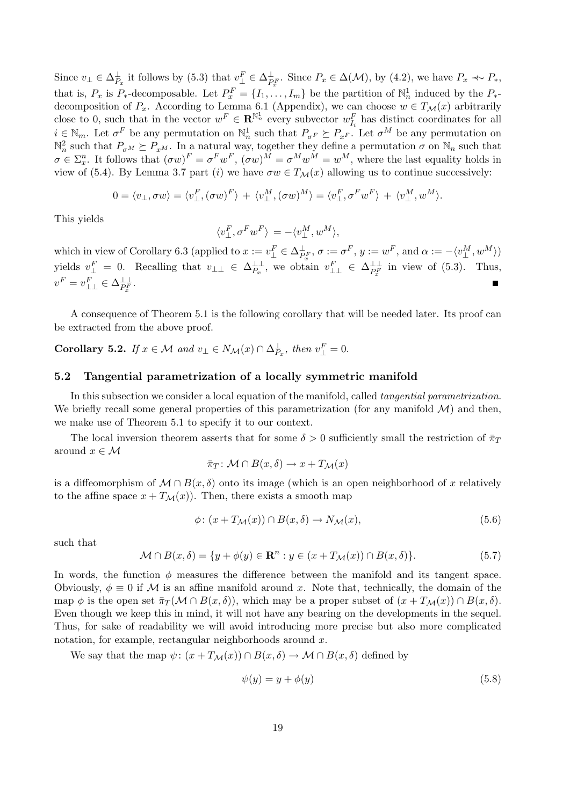Since  $v_{\perp} \in \Delta_{P_x}^{\perp}$  it follows by (5.3) that  $v_{\perp}^F \in \Delta_{P_x}^{\perp}$ . Since  $P_x \in \Delta(\mathcal{M})$ , by (4.2), we have  $P_x \prec P_x$ , that is,  $P_x$  is  $P_{*}$ -decomposable. Let  $P_x^F = \{I_1, \ldots, I_m\}$  be the partition of  $\mathbb{N}_n^1$  induced by the  $P_{*}$ decomposition of  $P_x$ . According to Lemma 6.1 (Appendix), we can choose  $w \in T_{\mathcal{M}}(x)$  arbitrarily close to 0, such that in the vector  $w^F \in \mathbf{R}^{\mathbb{N}^1_n}$  every subvector  $w^F_{I_i}$  has distinct coordinates for all  $i \in \mathbb{N}_m$ . Let  $\sigma^F$  be any permutation on  $\mathbb{N}_n^1$  such that  $P_{\sigma^F} \succeq P_{x^F}$ . Let  $\sigma^M$  be any permutation on  $\mathbb{N}_n^2$  such that  $P_{\sigma^M} \succeq P_{x^M}$ . In a natural way, together they define a permutation  $\sigma$  on  $\mathbb{N}_n$  such that  $\sigma \in \Sigma_{x}^{n}$ . It follows that  $(\sigma w)^{F} = \sigma^{F} w^{F}$ ,  $(\sigma w)^{M} = \sigma^{M} w^{M} = w^{M}$ , where the last equality holds in view of (5.4). By Lemma 3.7 part (i) we have  $\sigma w \in T_{\mathcal{M}}(x)$  allowing us to continue successively:

$$
0 = \langle v_{\perp}, \sigma w \rangle = \langle v_{\perp}^F, (\sigma w)^F \rangle + \langle v_{\perp}^M, (\sigma w)^M \rangle = \langle v_{\perp}^F, \sigma^F w^F \rangle + \langle v_{\perp}^M, w^M \rangle.
$$

This yields

$$
\langle v_\perp^F, \sigma^F w^F \rangle \, = - \langle v_\perp^M, w^M \rangle,
$$

which in view of Corollary 6.3 (applied to  $x := v_{\perp}^F \in \Delta_{P_x^F}^{\perp}, \sigma := \sigma^F, y := w^F$ , and  $\alpha := -\langle v_{\perp}^M, w^M \rangle$ ) yields  $v_{\perp}^F = 0$ . Recalling that  $v_{\perp\perp} \in \Delta_{P_x}^{\perp\perp}$ , we obtain  $v_{\perp\perp}^F \in \Delta_{P_x}^{\perp\perp}$  in view of (5.3). Thus,  $v^F = v_{\perp\perp}^F \in \Delta^{\perp\perp}_{P_x^F}.$ 

A consequence of Theorem 5.1 is the following corollary that will be needed later. Its proof can be extracted from the above proof.

**Corollary 5.2.** If  $x \in M$  and  $v_{\perp} \in N_{\mathcal{M}}(x) \cap \Delta_{P_x}^{\perp}$ , then  $v_{\perp}^F = 0$ .

### 5.2 Tangential parametrization of a locally symmetric manifold

In this subsection we consider a local equation of the manifold, called *tangential parametrization*. We briefly recall some general properties of this parametrization (for any manifold  $\mathcal{M}$ ) and then, we make use of Theorem 5.1 to specify it to our context.

The local inversion theorem asserts that for some  $\delta > 0$  sufficiently small the restriction of  $\bar{\pi}_T$ around  $x \in \mathcal{M}$ 

$$
\bar{\pi}_T \colon \mathcal{M} \cap B(x,\delta) \to x + T_{\mathcal{M}}(x)
$$

is a diffeomorphism of  $\mathcal{M} \cap B(x, \delta)$  onto its image (which is an open neighborhood of x relatively to the affine space  $x + T_{\mathcal{M}}(x)$ . Then, there exists a smooth map

$$
\phi \colon (x + T_{\mathcal{M}}(x)) \cap B(x, \delta) \to N_{\mathcal{M}}(x), \tag{5.6}
$$

such that

$$
\mathcal{M} \cap B(x,\delta) = \{ y + \phi(y) \in \mathbf{R}^n : y \in (x + T_{\mathcal{M}}(x)) \cap B(x,\delta) \}. \tag{5.7}
$$

In words, the function  $\phi$  measures the difference between the manifold and its tangent space. Obviously,  $\phi \equiv 0$  if M is an affine manifold around x. Note that, technically, the domain of the map  $\phi$  is the open set  $\bar{\pi}_T(M \cap B(x, \delta))$ , which may be a proper subset of  $(x + T_M(x)) \cap B(x, \delta)$ . Even though we keep this in mind, it will not have any bearing on the developments in the sequel. Thus, for sake of readability we will avoid introducing more precise but also more complicated notation, for example, rectangular neighborhoods around x.

We say that the map  $\psi: (x + T_{\mathcal{M}}(x)) \cap B(x, \delta) \to \mathcal{M} \cap B(x, \delta)$  defined by

$$
\psi(y) = y + \phi(y) \tag{5.8}
$$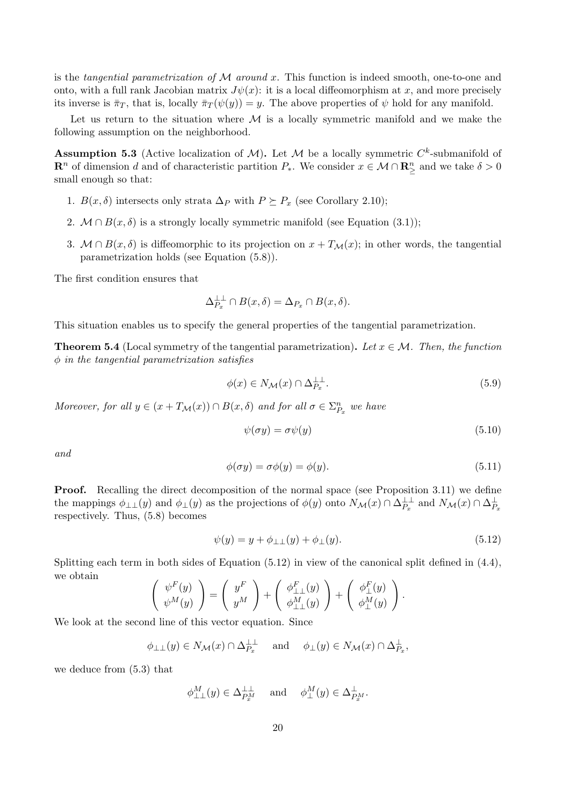is the tangential parametrization of  $\mathcal M$  around x. This function is indeed smooth, one-to-one and onto, with a full rank Jacobian matrix  $J\psi(x)$ : it is a local diffeomorphism at x, and more precisely its inverse is  $\bar{\pi}_T$ , that is, locally  $\bar{\pi}_T(\psi(y)) = y$ . The above properties of  $\psi$  hold for any manifold.

Let us return to the situation where  $M$  is a locally symmetric manifold and we make the following assumption on the neighborhood.

**Assumption 5.3** (Active localization of M). Let M be a locally symmetric  $C^k$ -submanifold of  $\mathbf{R}^n$  of dimension d and of characteristic partition  $P_*$ . We consider  $x \in \mathcal{M} \cap \mathbf{R}^n_{\geq}$  and we take  $\delta > 0$ small enough so that:

- 1.  $B(x, \delta)$  intersects only strata  $\Delta_P$  with  $P \succeq P_x$  (see Corollary 2.10);
- 2.  $M \cap B(x, \delta)$  is a strongly locally symmetric manifold (see Equation (3.1));
- 3.  $M \cap B(x, \delta)$  is diffeomorphic to its projection on  $x + T_M(x)$ ; in other words, the tangential parametrization holds (see Equation (5.8)).

The first condition ensures that

$$
\Delta_{P_x}^{\perp\perp} \cap B(x,\delta) = \Delta_{P_x} \cap B(x,\delta).
$$

This situation enables us to specify the general properties of the tangential parametrization.

**Theorem 5.4** (Local symmetry of the tangential parametrization). Let  $x \in \mathcal{M}$ . Then, the function  $\phi$  in the tangential parametrization satisfies

$$
\phi(x) \in N_{\mathcal{M}}(x) \cap \Delta_{P_x}^{\perp \perp}.\tag{5.9}
$$

Moreover, for all  $y \in (x + T_{\mathcal{M}}(x)) \cap B(x, \delta)$  and for all  $\sigma \in \Sigma_{P_x}^n$  we have

$$
\psi(\sigma y) = \sigma \psi(y) \tag{5.10}
$$

and

$$
\phi(\sigma y) = \sigma \phi(y) = \phi(y). \tag{5.11}
$$

**Proof.** Recalling the direct decomposition of the normal space (see Proposition 3.11) we define the mappings  $\phi_{\perp\perp}(y)$  and  $\phi_{\perp}(y)$  as the projections of  $\phi(y)$  onto  $N_{\mathcal{M}}(x) \cap \Delta_{P_x}^{\perp\perp}$  and  $N_{\mathcal{M}}(x) \cap \Delta_{P_x}^{\perp}$ respectively. Thus, (5.8) becomes

$$
\psi(y) = y + \phi_{\perp\perp}(y) + \phi_{\perp}(y). \tag{5.12}
$$

Splitting each term in both sides of Equation (5.12) in view of the canonical split defined in (4.4), we obtain

$$
\left(\begin{array}{c} \psi^F(y) \\ \psi^M(y) \end{array}\right) = \left(\begin{array}{c} y^F \\ y^M \end{array}\right) + \left(\begin{array}{c} \phi_{\perp\perp}^F(y) \\ \phi_{\perp\perp}^M(y) \end{array}\right) + \left(\begin{array}{c} \phi_{\perp}^F(y) \\ \phi_{\perp}^M(y) \end{array}\right).
$$

We look at the second line of this vector equation. Since

$$
\phi_{\perp\perp}(y) \in N_{\mathcal{M}}(x) \cap \Delta_{P_x}^{\perp\perp} \quad \text{and} \quad \phi_{\perp}(y) \in N_{\mathcal{M}}(x) \cap \Delta_{P_x}^{\perp},
$$

we deduce from (5.3) that

$$
\phi_{\perp\perp}^M(y) \in \Delta_{P_x^M}^{\perp\perp}
$$
 and  $\phi_{\perp}^M(y) \in \Delta_{P_x^M}^{\perp}$ .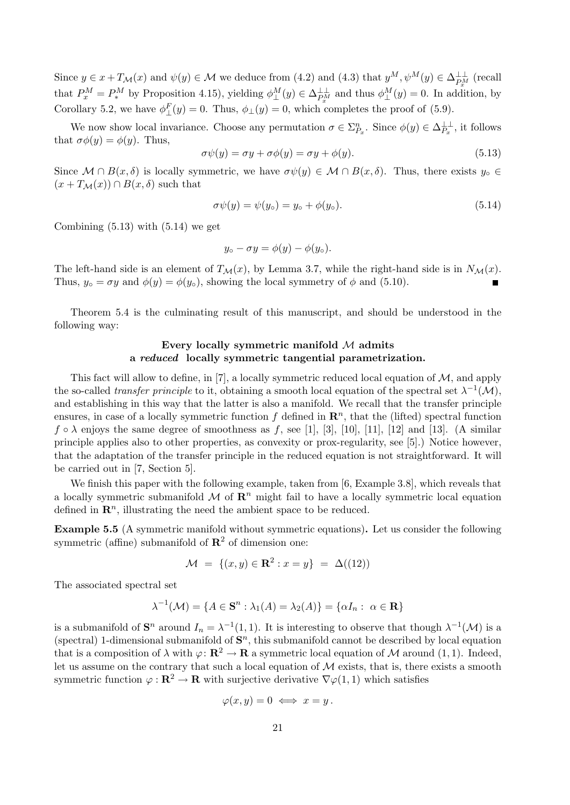Since  $y \in x + T_{\mathcal{M}}(x)$  and  $\psi(y) \in \mathcal{M}$  we deduce from (4.2) and (4.3) that  $y^M, \psi^M(y) \in \Delta_{P_x^M}^{\perp\perp}$  (recall that  $P_x^M = P_*^M$  by Proposition 4.15), yielding  $\phi_{\perp}^M(y) \in \Delta_{P_x^M}^{\perp}$  and thus  $\phi_{\perp}^M(y) = 0$ . In addition, by Corollary 5.2, we have  $\phi_{\perp}^{F}(y) = 0$ . Thus,  $\phi_{\perp}(y) = 0$ , which completes the proof of (5.9).

We now show local invariance. Choose any permutation  $\sigma \in \Sigma_{P_x}^n$ . Since  $\phi(y) \in \Delta_{P_x}^{\perp\perp}$ , it follows that  $\sigma\phi(y) = \phi(y)$ . Thus,

$$
\sigma\psi(y) = \sigma y + \sigma\phi(y) = \sigma y + \phi(y). \tag{5.13}
$$

Since  $M \cap B(x,\delta)$  is locally symmetric, we have  $\sigma \psi(y) \in M \cap B(x,\delta)$ . Thus, there exists  $y_0 \in$  $(x+T_{\mathcal{M}}(x)) \cap B(x,\delta)$  such that

$$
\sigma \psi(y) = \psi(y_0) = y_0 + \phi(y_0). \tag{5.14}
$$

Combining  $(5.13)$  with  $(5.14)$  we get

$$
y_{\circ} - \sigma y = \phi(y) - \phi(y_{\circ}).
$$

The left-hand side is an element of  $T_M(x)$ , by Lemma 3.7, while the right-hand side is in  $N_M(x)$ . Thus,  $y_{\circ} = \sigma y$  and  $\phi(y) = \phi(y_{\circ}),$  showing the local symmetry of  $\phi$  and (5.10). П

Theorem 5.4 is the culminating result of this manuscript, and should be understood in the following way:

### Every locally symmetric manifold M admits a reduced locally symmetric tangential parametrization.

This fact will allow to define, in [7], a locally symmetric reduced local equation of  $M$ , and apply the so-called *transfer principle* to it, obtaining a smooth local equation of the spectral set  $\lambda^{-1}(\mathcal{M})$ , and establishing in this way that the latter is also a manifold. We recall that the transfer principle ensures, in case of a locally symmetric function  $f$  defined in  $\mathbb{R}^n$ , that the (lifted) spectral function  $f \circ \lambda$  enjoys the same degree of smoothness as f, see [1], [3], [10], [11], [12] and [13]. (A similar principle applies also to other properties, as convexity or prox-regularity, see [5].) Notice however, that the adaptation of the transfer principle in the reduced equation is not straightforward. It will be carried out in [7, Section 5].

We finish this paper with the following example, taken from [6, Example 3.8], which reveals that a locally symmetric submanifold  $\mathcal M$  of  $\mathbb R^n$  might fail to have a locally symmetric local equation defined in  $\mathbb{R}^n$ , illustrating the need the ambient space to be reduced.

Example 5.5 (A symmetric manifold without symmetric equations). Let us consider the following symmetric (affine) submanifold of  $\mathbb{R}^2$  of dimension one:

$$
\mathcal{M} = \{ (x, y) \in \mathbf{R}^2 : x = y \} = \Delta((12))
$$

The associated spectral set

$$
\lambda^{-1}(\mathcal{M}) = \{ A \in \mathbf{S}^n : \lambda_1(A) = \lambda_2(A) \} = \{ \alpha I_n : \ \alpha \in \mathbf{R} \}
$$

is a submanifold of  $S^n$  around  $I_n = \lambda^{-1}(1,1)$ . It is interesting to observe that though  $\lambda^{-1}(\mathcal{M})$  is a (spectral) 1-dimensional submanifold of  $S<sup>n</sup>$ , this submanifold cannot be described by local equation that is a composition of  $\lambda$  with  $\varphi: \mathbb{R}^2 \to \mathbb{R}$  a symmetric local equation of M around (1, 1). Indeed, let us assume on the contrary that such a local equation of  $M$  exists, that is, there exists a smooth symmetric function  $\varphi : \mathbf{R}^2 \to \mathbf{R}$  with surjective derivative  $\nabla \varphi(1,1)$  which satisfies

$$
\varphi(x,y) = 0 \iff x = y \, .
$$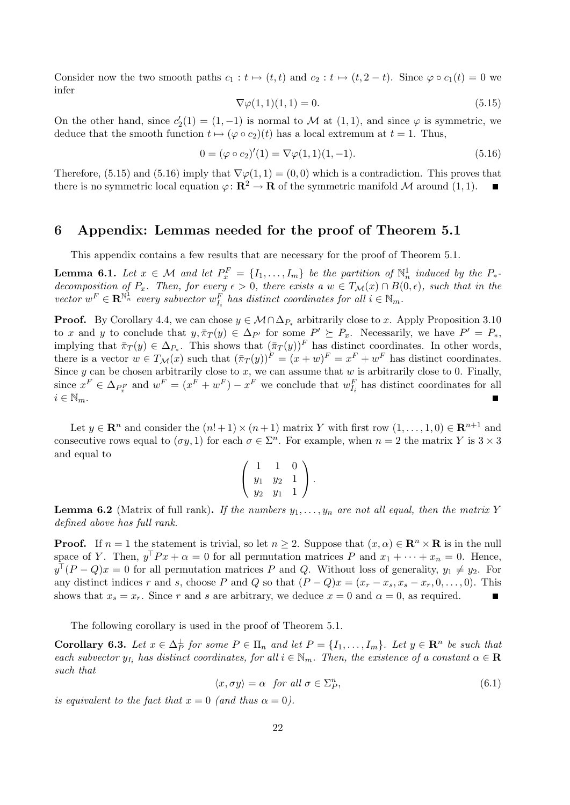Consider now the two smooth paths  $c_1 : t \mapsto (t, t)$  and  $c_2 : t \mapsto (t, 2 - t)$ . Since  $\varphi \circ c_1(t) = 0$  we infer

$$
\nabla \varphi(1,1)(1,1) = 0.\tag{5.15}
$$

On the other hand, since  $c'_2(1) = (1, -1)$  is normal to M at  $(1, 1)$ , and since  $\varphi$  is symmetric, we deduce that the smooth function  $t \mapsto (\varphi \circ c_2)(t)$  has a local extremum at  $t = 1$ . Thus,

$$
0 = (\varphi \circ c_2)'(1) = \nabla \varphi(1,1)(1,-1). \tag{5.16}
$$

Therefore, (5.15) and (5.16) imply that  $\nabla \varphi(1,1) = (0,0)$  which is a contradiction. This proves that there is no symmetric local equation  $\varphi: \mathbb{R}^2 \to \mathbb{R}$  of the symmetric manifold M around (1, 1).

### 6 Appendix: Lemmas needed for the proof of Theorem 5.1

This appendix contains a few results that are necessary for the proof of Theorem 5.1.

**Lemma 6.1.** Let  $x \in \mathcal{M}$  and let  $P_x^F = \{I_1, \ldots, I_m\}$  be the partition of  $\mathbb{N}_n^1$  induced by the  $P_{*}$ decomposition of  $P_x$ . Then, for every  $\epsilon > 0$ , there exists a  $w \in T_{\mathcal{M}}(x) \cap B(0, \epsilon)$ , such that in the vector  $w^F \in \mathbf{R}^{\mathbb{N}^1_n}$  every subvector  $w^F_{I_i}$  has distinct coordinates for all  $i \in \mathbb{N}_m$ .

**Proof.** By Corollary 4.4, we can chose  $y \in \mathcal{M} \cap \Delta_{P_{*}}$  arbitrarily close to x. Apply Proposition 3.10 to x and y to conclude that  $y, \overline{\pi}_T(y) \in \Delta_{P'}$  for some  $P' \succeq P_x$ . Necessarily, we have  $P' = P_*,$ implying that  $\bar{\pi}_T(y) \in \Delta_{P_*}$ . This shows that  $(\bar{\pi}_T(y))^F$  has distinct coordinates. In other words, there is a vector  $w \in T_{\mathcal{M}}(x)$  such that  $(\bar{\pi}_T(y))^F = (x+w)^F = x^F + w^F$  has distinct coordinates. Since y can be chosen arbitrarily close to x, we can assume that w is arbitrarily close to 0. Finally, since  $x^F \in \Delta_{P_x^F}$  and  $w^F = (x^F + w^F) - x^F$  we conclude that  $w_{I_i}^F$  has distinct coordinates for all  $i \in \mathbb{N}_m$ .

Let  $y \in \mathbb{R}^n$  and consider the  $(n!+1) \times (n+1)$  matrix Y with first row  $(1, \ldots, 1, 0) \in \mathbb{R}^{n+1}$  and consecutive rows equal to  $(\sigma y, 1)$  for each  $\sigma \in \Sigma^n$ . For example, when  $n = 2$  the matrix Y is  $3 \times 3$ and equal to

$$
\left(\begin{array}{rrr} 1 & 1 & 0 \\ y_1 & y_2 & 1 \\ y_2 & y_1 & 1 \end{array}\right).
$$

**Lemma 6.2** (Matrix of full rank). If the numbers  $y_1, \ldots, y_n$  are not all equal, then the matrix Y defined above has full rank.

**Proof.** If  $n = 1$  the statement is trivial, so let  $n \geq 2$ . Suppose that  $(x, \alpha) \in \mathbb{R}^n \times \mathbb{R}$  is in the null space of Y. Then,  $y^{\top}Px + \alpha = 0$  for all permutation matrices P and  $x_1 + \cdots + x_n = 0$ . Hence,  $y^{\top}(P-Q)x=0$  for all permutation matrices P and Q. Without loss of generality,  $y_1 \neq y_2$ . For any distinct indices r and s, choose P and Q so that  $(P - Q)x = (x_r - x_s, x_s - x_r, 0, \ldots, 0)$ . This shows that  $x_s = x_r$ . Since r and s are arbitrary, we deduce  $x = 0$  and  $\alpha = 0$ , as required. г

The following corollary is used in the proof of Theorem 5.1.

**Corollary 6.3.** Let  $x \in \Delta_P^{\perp}$  for some  $P \in \Pi_n$  and let  $P = \{I_1, \ldots, I_m\}$ . Let  $y \in \mathbb{R}^n$  be such that each subvector  $y_{I_i}$  has distinct coordinates, for all  $i \in \mathbb{N}_m$ . Then, the existence of a constant  $\alpha \in \mathbb{R}$ such that

$$
\langle x, \sigma y \rangle = \alpha \quad \text{for all } \sigma \in \Sigma_P^n,\tag{6.1}
$$

is equivalent to the fact that  $x = 0$  (and thus  $\alpha = 0$ ).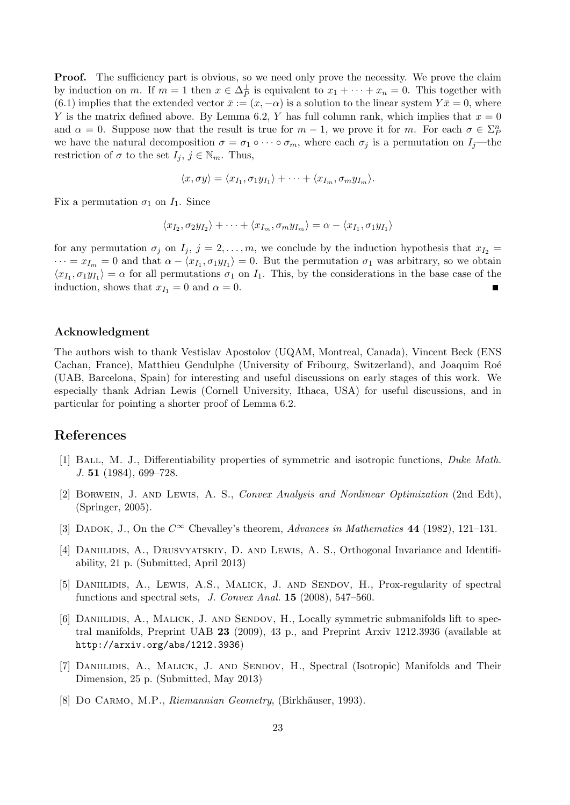**Proof.** The sufficiency part is obvious, so we need only prove the necessity. We prove the claim by induction on m. If  $m = 1$  then  $x \in \Delta_P^{\perp}$  is equivalent to  $x_1 + \cdots + x_n = 0$ . This together with  $(6.1)$  implies that the extended vector  $\bar{x} := (x, -\alpha)$  is a solution to the linear system  $Y\bar{x} = 0$ , where Y is the matrix defined above. By Lemma 6.2, Y has full column rank, which implies that  $x = 0$ and  $\alpha = 0$ . Suppose now that the result is true for  $m-1$ , we prove it for m. For each  $\sigma \in \Sigma_{\mathcal{F}}^n$ we have the natural decomposition  $\sigma = \sigma_1 \circ \cdots \circ \sigma_m$ , where each  $\sigma_j$  is a permutation on  $I_j$ —the restriction of  $\sigma$  to the set  $I_j$ ,  $j \in \mathbb{N}_m$ . Thus,

$$
\langle x, \sigma y \rangle = \langle x_{I_1}, \sigma_1 y_{I_1} \rangle + \cdots + \langle x_{I_m}, \sigma_m y_{I_m} \rangle.
$$

Fix a permutation  $\sigma_1$  on  $I_1$ . Since

$$
\langle x_{I_2}, \sigma_2 y_{I_2} \rangle + \cdots + \langle x_{I_m}, \sigma_m y_{I_m} \rangle = \alpha - \langle x_{I_1}, \sigma_1 y_{I_1} \rangle
$$

for any permutation  $\sigma_j$  on  $I_j$ ,  $j = 2, \ldots, m$ , we conclude by the induction hypothesis that  $x_{I_2} =$  $\cdots = x_{I_m} = 0$  and that  $\alpha - \langle x_{I_1}, \sigma_1 y_{I_1} \rangle = 0$ . But the permutation  $\sigma_1$  was arbitrary, so we obtain  $\langle x_{I_1}, \sigma_1 y_{I_1} \rangle = \alpha$  for all permutations  $\sigma_1$  on  $I_1$ . This, by the considerations in the base case of the induction, shows that  $x_{I_1} = 0$  and  $\alpha = 0$ .

#### Acknowledgment

The authors wish to thank Vestislav Apostolov (UQAM, Montreal, Canada), Vincent Beck (ENS Cachan, France), Matthieu Gendulphe (University of Fribourg, Switzerland), and Joaquim Roé (UAB, Barcelona, Spain) for interesting and useful discussions on early stages of this work. We especially thank Adrian Lewis (Cornell University, Ithaca, USA) for useful discussions, and in particular for pointing a shorter proof of Lemma 6.2.

# References

- [1] BALL, M. J., Differentiability properties of symmetric and isotropic functions, Duke Math. J. 51 (1984), 699–728.
- [2] Borwein, J. and Lewis, A. S., Convex Analysis and Nonlinear Optimization (2nd Edt), (Springer, 2005).
- [3] DADOK, J., On the  $C^{\infty}$  Chevalley's theorem, Advances in Mathematics 44 (1982), 121–131.
- [4] DANIILIDIS, A., DRUSVYATSKIY, D. AND LEWIS, A. S., Orthogonal Invariance and Identifiability, 21 p. (Submitted, April 2013)
- [5] Daniilidis, A., Lewis, A.S., Malick, J. and Sendov, H., Prox-regularity of spectral functions and spectral sets,  $J.$  Convex Anal. **15** (2008), 547-560.
- [6] DANIILIDIS, A., MALICK, J. AND SENDOV, H., Locally symmetric submanifolds lift to spectral manifolds, Preprint UAB 23 (2009), 43 p., and Preprint Arxiv 1212.3936 (available at http://arxiv.org/abs/1212.3936)
- [7] DANIILIDIS, A., MALICK, J. AND SENDOV, H., Spectral (Isotropic) Manifolds and Their Dimension, 25 p. (Submitted, May 2013)
- [8] Do CARMO, M.P., Riemannian Geometry, (Birkhäuser, 1993).